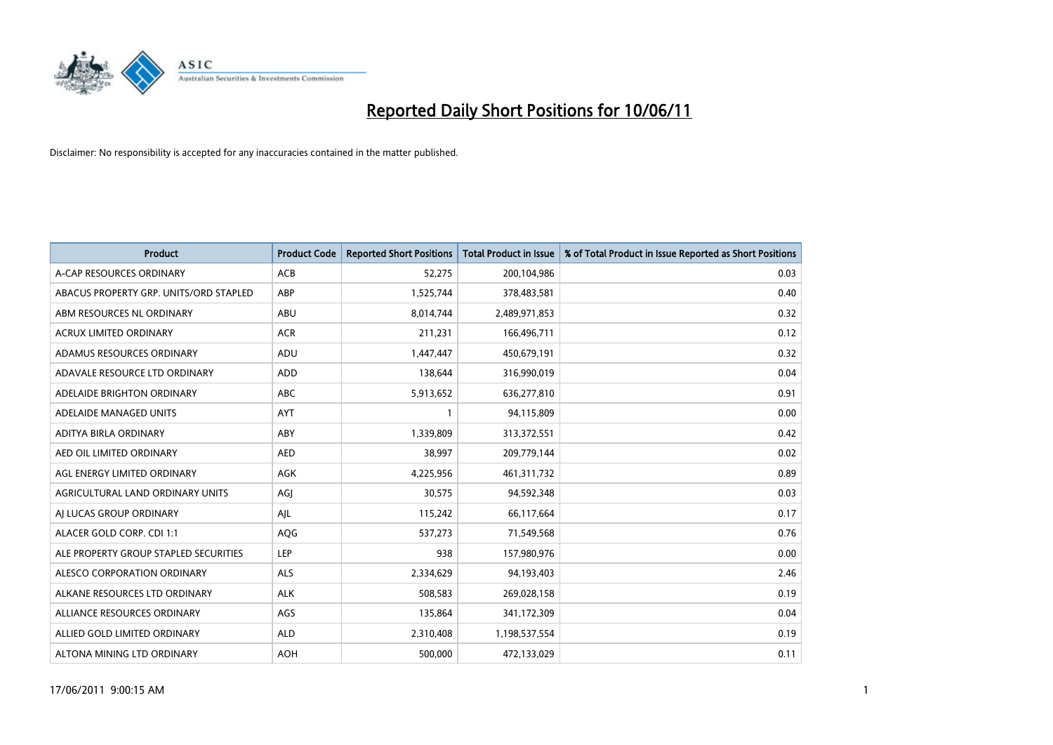

| <b>Product</b>                         | <b>Product Code</b> | <b>Reported Short Positions</b> | Total Product in Issue | % of Total Product in Issue Reported as Short Positions |
|----------------------------------------|---------------------|---------------------------------|------------------------|---------------------------------------------------------|
| A-CAP RESOURCES ORDINARY               | <b>ACB</b>          | 52,275                          | 200,104,986            | 0.03                                                    |
| ABACUS PROPERTY GRP. UNITS/ORD STAPLED | ABP                 | 1,525,744                       | 378,483,581            | 0.40                                                    |
| ABM RESOURCES NL ORDINARY              | ABU                 | 8,014,744                       | 2,489,971,853          | 0.32                                                    |
| ACRUX LIMITED ORDINARY                 | <b>ACR</b>          | 211,231                         | 166,496,711            | 0.12                                                    |
| ADAMUS RESOURCES ORDINARY              | ADU                 | 1,447,447                       | 450,679,191            | 0.32                                                    |
| ADAVALE RESOURCE LTD ORDINARY          | ADD                 | 138,644                         | 316,990,019            | 0.04                                                    |
| ADELAIDE BRIGHTON ORDINARY             | <b>ABC</b>          | 5,913,652                       | 636,277,810            | 0.91                                                    |
| ADELAIDE MANAGED UNITS                 | <b>AYT</b>          |                                 | 94,115,809             | 0.00                                                    |
| ADITYA BIRLA ORDINARY                  | ABY                 | 1,339,809                       | 313,372,551            | 0.42                                                    |
| AED OIL LIMITED ORDINARY               | <b>AED</b>          | 38,997                          | 209,779,144            | 0.02                                                    |
| AGL ENERGY LIMITED ORDINARY            | <b>AGK</b>          | 4,225,956                       | 461,311,732            | 0.89                                                    |
| AGRICULTURAL LAND ORDINARY UNITS       | AGJ                 | 30,575                          | 94,592,348             | 0.03                                                    |
| AI LUCAS GROUP ORDINARY                | AJL                 | 115,242                         | 66,117,664             | 0.17                                                    |
| ALACER GOLD CORP. CDI 1:1              | AQG                 | 537,273                         | 71,549,568             | 0.76                                                    |
| ALE PROPERTY GROUP STAPLED SECURITIES  | LEP                 | 938                             | 157,980,976            | 0.00                                                    |
| ALESCO CORPORATION ORDINARY            | ALS                 | 2,334,629                       | 94,193,403             | 2.46                                                    |
| ALKANE RESOURCES LTD ORDINARY          | <b>ALK</b>          | 508,583                         | 269,028,158            | 0.19                                                    |
| ALLIANCE RESOURCES ORDINARY            | AGS                 | 135,864                         | 341,172,309            | 0.04                                                    |
| ALLIED GOLD LIMITED ORDINARY           | <b>ALD</b>          | 2,310,408                       | 1,198,537,554          | 0.19                                                    |
| ALTONA MINING LTD ORDINARY             | <b>AOH</b>          | 500.000                         | 472,133,029            | 0.11                                                    |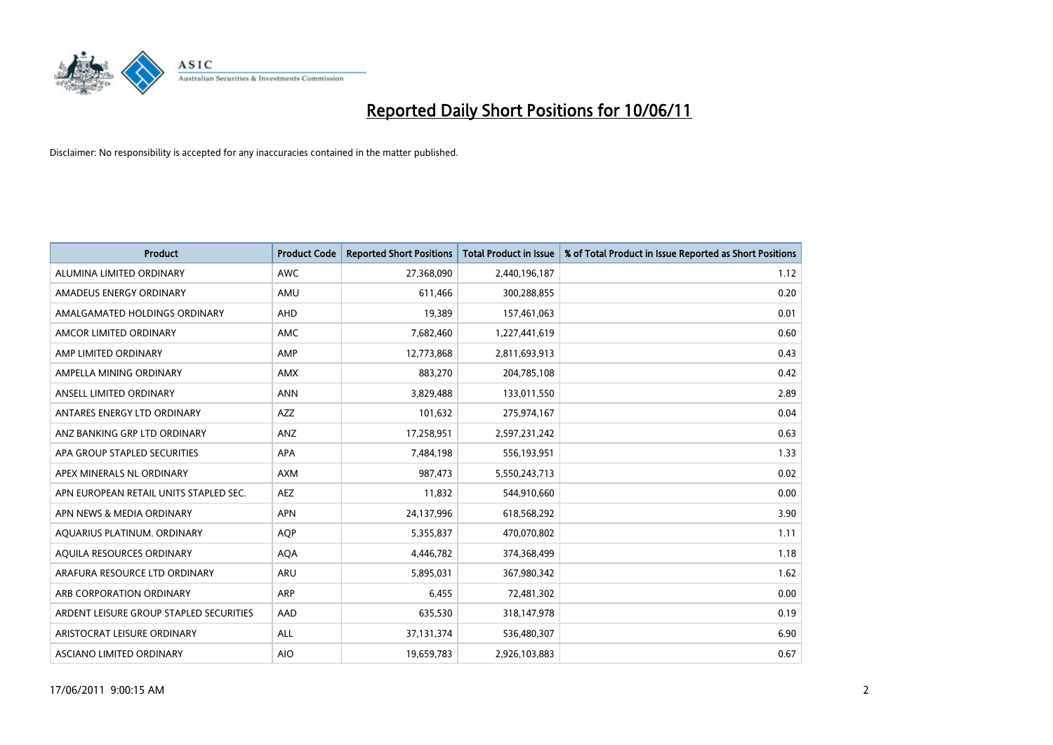

| <b>Product</b>                          | <b>Product Code</b> | <b>Reported Short Positions</b> | Total Product in Issue | % of Total Product in Issue Reported as Short Positions |
|-----------------------------------------|---------------------|---------------------------------|------------------------|---------------------------------------------------------|
| ALUMINA LIMITED ORDINARY                | <b>AWC</b>          | 27,368,090                      | 2,440,196,187          | 1.12                                                    |
| AMADEUS ENERGY ORDINARY                 | AMU                 | 611,466                         | 300,288,855            | 0.20                                                    |
| AMALGAMATED HOLDINGS ORDINARY           | <b>AHD</b>          | 19,389                          | 157,461,063            | 0.01                                                    |
| AMCOR LIMITED ORDINARY                  | <b>AMC</b>          | 7,682,460                       | 1,227,441,619          | 0.60                                                    |
| AMP LIMITED ORDINARY                    | AMP                 | 12,773,868                      | 2,811,693,913          | 0.43                                                    |
| AMPELLA MINING ORDINARY                 | <b>AMX</b>          | 883,270                         | 204,785,108            | 0.42                                                    |
| ANSELL LIMITED ORDINARY                 | <b>ANN</b>          | 3,829,488                       | 133,011,550            | 2.89                                                    |
| ANTARES ENERGY LTD ORDINARY             | <b>AZZ</b>          | 101,632                         | 275,974,167            | 0.04                                                    |
| ANZ BANKING GRP LTD ORDINARY            | <b>ANZ</b>          | 17,258,951                      | 2,597,231,242          | 0.63                                                    |
| APA GROUP STAPLED SECURITIES            | <b>APA</b>          | 7,484,198                       | 556,193,951            | 1.33                                                    |
| APEX MINERALS NL ORDINARY               | <b>AXM</b>          | 987,473                         | 5,550,243,713          | 0.02                                                    |
| APN EUROPEAN RETAIL UNITS STAPLED SEC.  | <b>AEZ</b>          | 11,832                          | 544,910,660            | 0.00                                                    |
| APN NEWS & MEDIA ORDINARY               | <b>APN</b>          | 24,137,996                      | 618,568,292            | 3.90                                                    |
| AQUARIUS PLATINUM. ORDINARY             | <b>AOP</b>          | 5,355,837                       | 470,070,802            | 1.11                                                    |
| AQUILA RESOURCES ORDINARY               | <b>AQA</b>          | 4,446,782                       | 374,368,499            | 1.18                                                    |
| ARAFURA RESOURCE LTD ORDINARY           | ARU                 | 5,895,031                       | 367,980,342            | 1.62                                                    |
| ARB CORPORATION ORDINARY                | ARP                 | 6,455                           | 72,481,302             | 0.00                                                    |
| ARDENT LEISURE GROUP STAPLED SECURITIES | AAD                 | 635,530                         | 318,147,978            | 0.19                                                    |
| ARISTOCRAT LEISURE ORDINARY             | <b>ALL</b>          | 37,131,374                      | 536,480,307            | 6.90                                                    |
| ASCIANO LIMITED ORDINARY                | <b>AIO</b>          | 19,659,783                      | 2,926,103,883          | 0.67                                                    |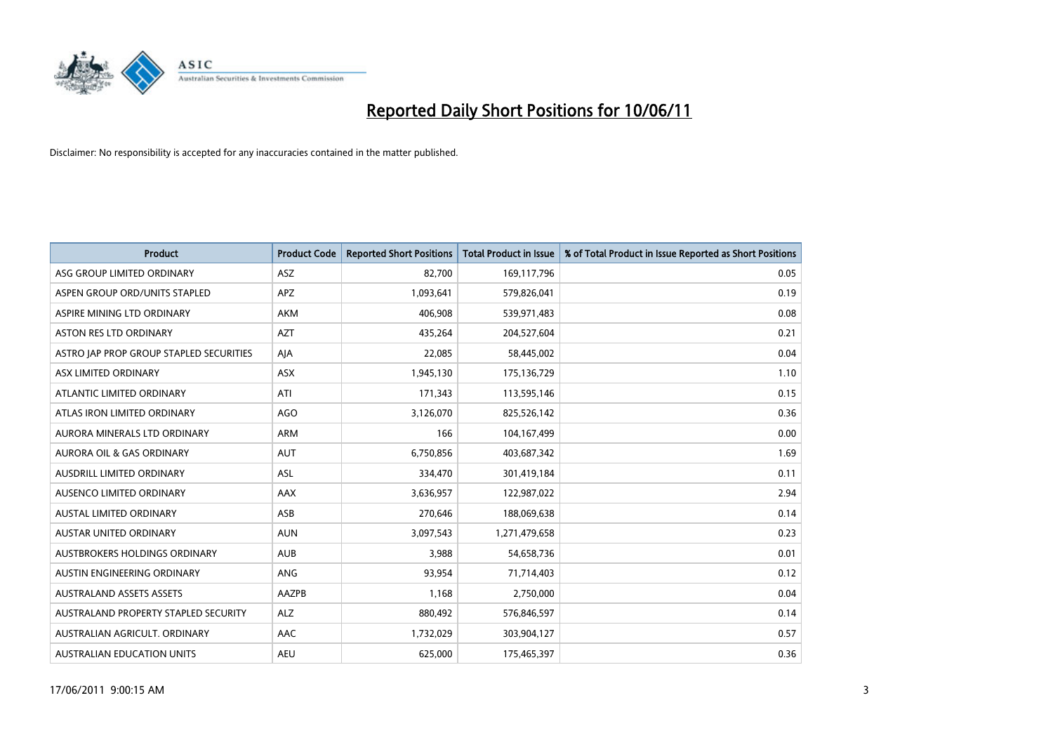

| <b>Product</b>                          | <b>Product Code</b> | <b>Reported Short Positions</b> | <b>Total Product in Issue</b> | % of Total Product in Issue Reported as Short Positions |
|-----------------------------------------|---------------------|---------------------------------|-------------------------------|---------------------------------------------------------|
| ASG GROUP LIMITED ORDINARY              | <b>ASZ</b>          | 82,700                          | 169,117,796                   | 0.05                                                    |
| ASPEN GROUP ORD/UNITS STAPLED           | <b>APZ</b>          | 1,093,641                       | 579,826,041                   | 0.19                                                    |
| ASPIRE MINING LTD ORDINARY              | <b>AKM</b>          | 406.908                         | 539,971,483                   | 0.08                                                    |
| ASTON RES LTD ORDINARY                  | <b>AZT</b>          | 435,264                         | 204,527,604                   | 0.21                                                    |
| ASTRO JAP PROP GROUP STAPLED SECURITIES | AJA                 | 22,085                          | 58,445,002                    | 0.04                                                    |
| ASX LIMITED ORDINARY                    | ASX                 | 1,945,130                       | 175,136,729                   | 1.10                                                    |
| ATLANTIC LIMITED ORDINARY               | ATI                 | 171,343                         | 113,595,146                   | 0.15                                                    |
| ATLAS IRON LIMITED ORDINARY             | <b>AGO</b>          | 3,126,070                       | 825,526,142                   | 0.36                                                    |
| AURORA MINERALS LTD ORDINARY            | <b>ARM</b>          | 166                             | 104,167,499                   | 0.00                                                    |
| <b>AURORA OIL &amp; GAS ORDINARY</b>    | <b>AUT</b>          | 6,750,856                       | 403,687,342                   | 1.69                                                    |
| AUSDRILL LIMITED ORDINARY               | <b>ASL</b>          | 334,470                         | 301,419,184                   | 0.11                                                    |
| AUSENCO LIMITED ORDINARY                | <b>AAX</b>          | 3,636,957                       | 122,987,022                   | 2.94                                                    |
| AUSTAL LIMITED ORDINARY                 | ASB                 | 270,646                         | 188,069,638                   | 0.14                                                    |
| <b>AUSTAR UNITED ORDINARY</b>           | <b>AUN</b>          | 3,097,543                       | 1,271,479,658                 | 0.23                                                    |
| AUSTBROKERS HOLDINGS ORDINARY           | <b>AUB</b>          | 3,988                           | 54,658,736                    | 0.01                                                    |
| AUSTIN ENGINEERING ORDINARY             | ANG                 | 93,954                          | 71,714,403                    | 0.12                                                    |
| <b>AUSTRALAND ASSETS ASSETS</b>         | AAZPB               | 1,168                           | 2,750,000                     | 0.04                                                    |
| AUSTRALAND PROPERTY STAPLED SECURITY    | <b>ALZ</b>          | 880,492                         | 576,846,597                   | 0.14                                                    |
| AUSTRALIAN AGRICULT, ORDINARY           | AAC                 | 1,732,029                       | 303,904,127                   | 0.57                                                    |
| AUSTRALIAN EDUCATION UNITS              | <b>AEU</b>          | 625,000                         | 175,465,397                   | 0.36                                                    |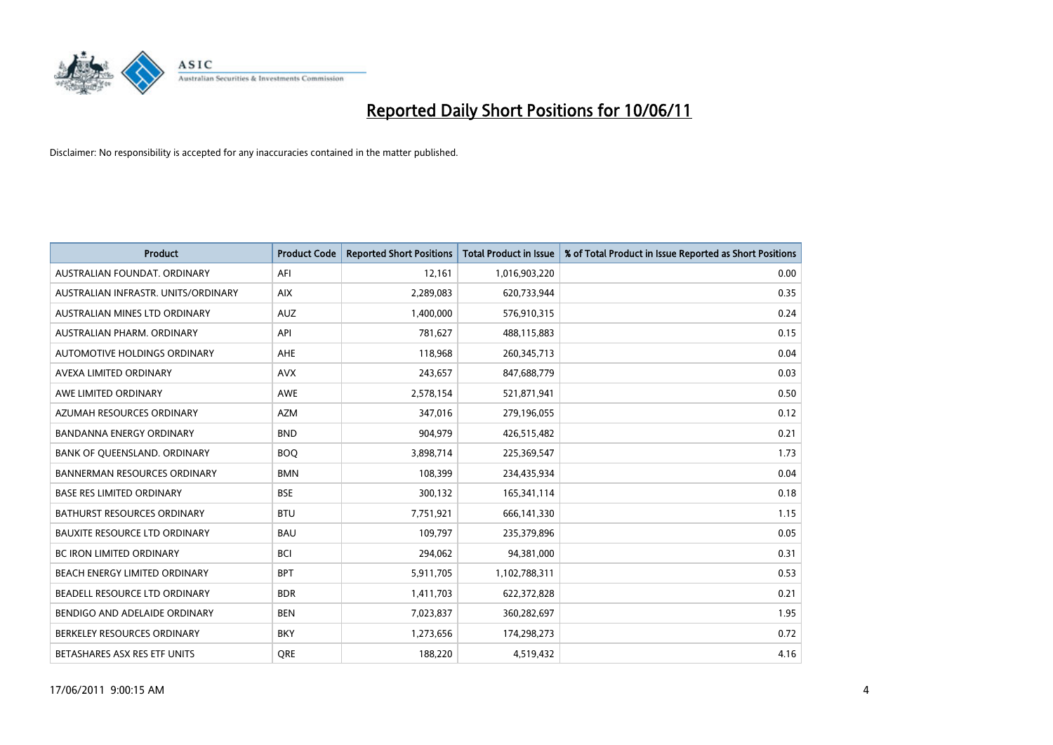

| <b>Product</b>                       | <b>Product Code</b> | <b>Reported Short Positions</b> | <b>Total Product in Issue</b> | % of Total Product in Issue Reported as Short Positions |
|--------------------------------------|---------------------|---------------------------------|-------------------------------|---------------------------------------------------------|
| AUSTRALIAN FOUNDAT, ORDINARY         | AFI                 | 12,161                          | 1,016,903,220                 | 0.00                                                    |
| AUSTRALIAN INFRASTR. UNITS/ORDINARY  | <b>AIX</b>          | 2,289,083                       | 620,733,944                   | 0.35                                                    |
| AUSTRALIAN MINES LTD ORDINARY        | <b>AUZ</b>          | 1,400,000                       | 576,910,315                   | 0.24                                                    |
| AUSTRALIAN PHARM. ORDINARY           | API                 | 781,627                         | 488,115,883                   | 0.15                                                    |
| AUTOMOTIVE HOLDINGS ORDINARY         | <b>AHE</b>          | 118,968                         | 260,345,713                   | 0.04                                                    |
| AVEXA LIMITED ORDINARY               | <b>AVX</b>          | 243,657                         | 847,688,779                   | 0.03                                                    |
| AWE LIMITED ORDINARY                 | <b>AWE</b>          | 2,578,154                       | 521,871,941                   | 0.50                                                    |
| AZUMAH RESOURCES ORDINARY            | <b>AZM</b>          | 347,016                         | 279,196,055                   | 0.12                                                    |
| <b>BANDANNA ENERGY ORDINARY</b>      | <b>BND</b>          | 904.979                         | 426,515,482                   | 0.21                                                    |
| BANK OF QUEENSLAND. ORDINARY         | <b>BOO</b>          | 3,898,714                       | 225,369,547                   | 1.73                                                    |
| <b>BANNERMAN RESOURCES ORDINARY</b>  | <b>BMN</b>          | 108,399                         | 234,435,934                   | 0.04                                                    |
| <b>BASE RES LIMITED ORDINARY</b>     | <b>BSE</b>          | 300,132                         | 165,341,114                   | 0.18                                                    |
| BATHURST RESOURCES ORDINARY          | <b>BTU</b>          | 7,751,921                       | 666,141,330                   | 1.15                                                    |
| <b>BAUXITE RESOURCE LTD ORDINARY</b> | <b>BAU</b>          | 109,797                         | 235,379,896                   | 0.05                                                    |
| <b>BC IRON LIMITED ORDINARY</b>      | <b>BCI</b>          | 294,062                         | 94,381,000                    | 0.31                                                    |
| BEACH ENERGY LIMITED ORDINARY        | <b>BPT</b>          | 5,911,705                       | 1,102,788,311                 | 0.53                                                    |
| BEADELL RESOURCE LTD ORDINARY        | <b>BDR</b>          | 1,411,703                       | 622,372,828                   | 0.21                                                    |
| BENDIGO AND ADELAIDE ORDINARY        | <b>BEN</b>          | 7,023,837                       | 360,282,697                   | 1.95                                                    |
| BERKELEY RESOURCES ORDINARY          | <b>BKY</b>          | 1,273,656                       | 174,298,273                   | 0.72                                                    |
| BETASHARES ASX RES ETF UNITS         | <b>ORE</b>          | 188,220                         | 4,519,432                     | 4.16                                                    |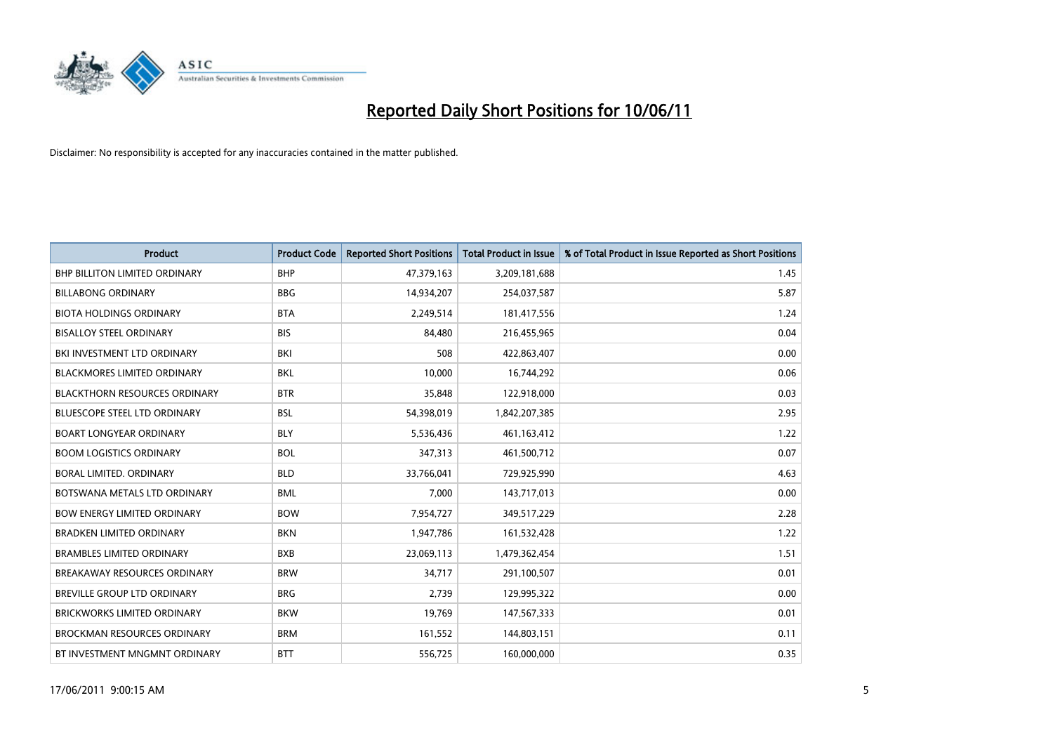

| <b>Product</b>                       | <b>Product Code</b> | <b>Reported Short Positions</b> | Total Product in Issue | % of Total Product in Issue Reported as Short Positions |
|--------------------------------------|---------------------|---------------------------------|------------------------|---------------------------------------------------------|
| <b>BHP BILLITON LIMITED ORDINARY</b> | <b>BHP</b>          | 47,379,163                      | 3,209,181,688          | 1.45                                                    |
| <b>BILLABONG ORDINARY</b>            | <b>BBG</b>          | 14,934,207                      | 254,037,587            | 5.87                                                    |
| <b>BIOTA HOLDINGS ORDINARY</b>       | <b>BTA</b>          | 2,249,514                       | 181,417,556            | 1.24                                                    |
| <b>BISALLOY STEEL ORDINARY</b>       | <b>BIS</b>          | 84,480                          | 216,455,965            | 0.04                                                    |
| BKI INVESTMENT LTD ORDINARY          | BKI                 | 508                             | 422,863,407            | 0.00                                                    |
| <b>BLACKMORES LIMITED ORDINARY</b>   | <b>BKL</b>          | 10,000                          | 16,744,292             | 0.06                                                    |
| <b>BLACKTHORN RESOURCES ORDINARY</b> | <b>BTR</b>          | 35,848                          | 122,918,000            | 0.03                                                    |
| <b>BLUESCOPE STEEL LTD ORDINARY</b>  | <b>BSL</b>          | 54,398,019                      | 1,842,207,385          | 2.95                                                    |
| <b>BOART LONGYEAR ORDINARY</b>       | <b>BLY</b>          | 5,536,436                       | 461,163,412            | 1.22                                                    |
| <b>BOOM LOGISTICS ORDINARY</b>       | <b>BOL</b>          | 347,313                         | 461,500,712            | 0.07                                                    |
| BORAL LIMITED. ORDINARY              | <b>BLD</b>          | 33,766,041                      | 729,925,990            | 4.63                                                    |
| BOTSWANA METALS LTD ORDINARY         | <b>BML</b>          | 7,000                           | 143,717,013            | 0.00                                                    |
| <b>BOW ENERGY LIMITED ORDINARY</b>   | <b>BOW</b>          | 7,954,727                       | 349,517,229            | 2.28                                                    |
| <b>BRADKEN LIMITED ORDINARY</b>      | <b>BKN</b>          | 1,947,786                       | 161,532,428            | 1.22                                                    |
| <b>BRAMBLES LIMITED ORDINARY</b>     | <b>BXB</b>          | 23,069,113                      | 1,479,362,454          | 1.51                                                    |
| BREAKAWAY RESOURCES ORDINARY         | <b>BRW</b>          | 34,717                          | 291,100,507            | 0.01                                                    |
| BREVILLE GROUP LTD ORDINARY          | <b>BRG</b>          | 2,739                           | 129,995,322            | 0.00                                                    |
| <b>BRICKWORKS LIMITED ORDINARY</b>   | <b>BKW</b>          | 19,769                          | 147,567,333            | 0.01                                                    |
| <b>BROCKMAN RESOURCES ORDINARY</b>   | <b>BRM</b>          | 161,552                         | 144,803,151            | 0.11                                                    |
| BT INVESTMENT MNGMNT ORDINARY        | <b>BTT</b>          | 556,725                         | 160,000,000            | 0.35                                                    |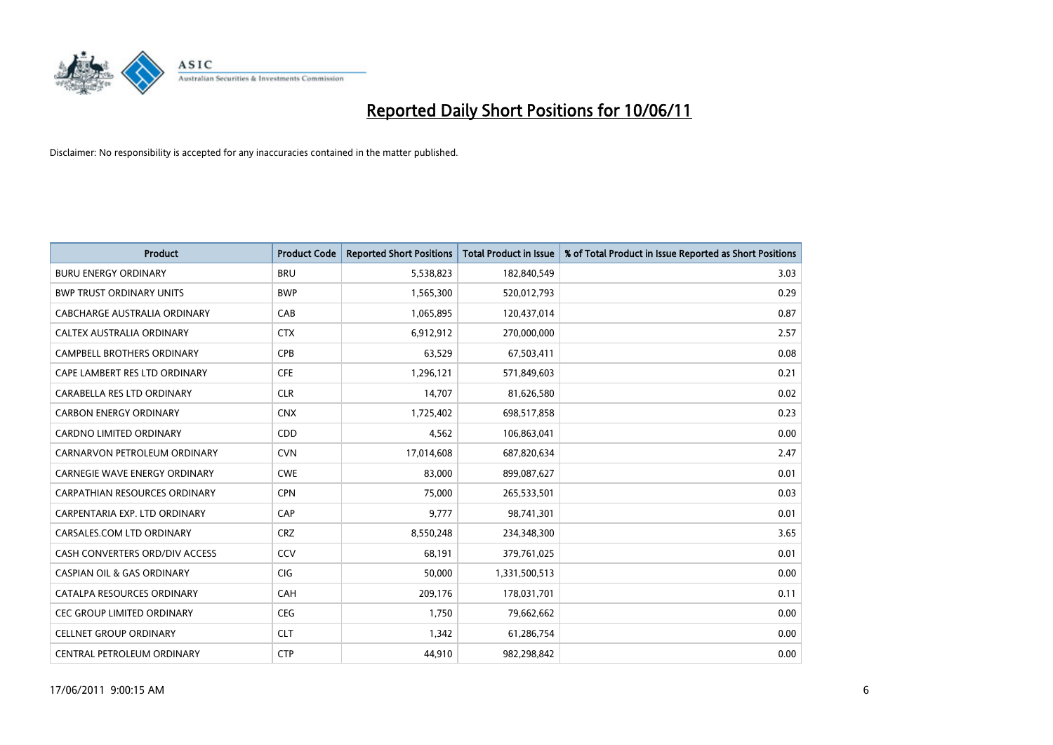

| <b>Product</b>                        | <b>Product Code</b> | <b>Reported Short Positions</b> | <b>Total Product in Issue</b> | % of Total Product in Issue Reported as Short Positions |
|---------------------------------------|---------------------|---------------------------------|-------------------------------|---------------------------------------------------------|
| <b>BURU ENERGY ORDINARY</b>           | <b>BRU</b>          | 5,538,823                       | 182,840,549                   | 3.03                                                    |
| <b>BWP TRUST ORDINARY UNITS</b>       | <b>BWP</b>          | 1,565,300                       | 520,012,793                   | 0.29                                                    |
| CABCHARGE AUSTRALIA ORDINARY          | CAB                 | 1,065,895                       | 120,437,014                   | 0.87                                                    |
| <b>CALTEX AUSTRALIA ORDINARY</b>      | <b>CTX</b>          | 6,912,912                       | 270,000,000                   | 2.57                                                    |
| <b>CAMPBELL BROTHERS ORDINARY</b>     | <b>CPB</b>          | 63,529                          | 67,503,411                    | 0.08                                                    |
| CAPE LAMBERT RES LTD ORDINARY         | <b>CFE</b>          | 1,296,121                       | 571,849,603                   | 0.21                                                    |
| CARABELLA RES LTD ORDINARY            | <b>CLR</b>          | 14,707                          | 81,626,580                    | 0.02                                                    |
| <b>CARBON ENERGY ORDINARY</b>         | <b>CNX</b>          | 1,725,402                       | 698,517,858                   | 0.23                                                    |
| <b>CARDNO LIMITED ORDINARY</b>        | CDD                 | 4,562                           | 106,863,041                   | 0.00                                                    |
| CARNARVON PETROLEUM ORDINARY          | <b>CVN</b>          | 17,014,608                      | 687,820,634                   | 2.47                                                    |
| <b>CARNEGIE WAVE ENERGY ORDINARY</b>  | <b>CWE</b>          | 83,000                          | 899,087,627                   | 0.01                                                    |
| <b>CARPATHIAN RESOURCES ORDINARY</b>  | <b>CPN</b>          | 75,000                          | 265,533,501                   | 0.03                                                    |
| CARPENTARIA EXP. LTD ORDINARY         | CAP                 | 9.777                           | 98,741,301                    | 0.01                                                    |
| CARSALES.COM LTD ORDINARY             | <b>CRZ</b>          | 8,550,248                       | 234,348,300                   | 3.65                                                    |
| CASH CONVERTERS ORD/DIV ACCESS        | CCV                 | 68.191                          | 379,761,025                   | 0.01                                                    |
| <b>CASPIAN OIL &amp; GAS ORDINARY</b> | <b>CIG</b>          | 50,000                          | 1,331,500,513                 | 0.00                                                    |
| CATALPA RESOURCES ORDINARY            | <b>CAH</b>          | 209,176                         | 178,031,701                   | 0.11                                                    |
| CEC GROUP LIMITED ORDINARY            | <b>CEG</b>          | 1,750                           | 79,662,662                    | 0.00                                                    |
| <b>CELLNET GROUP ORDINARY</b>         | <b>CLT</b>          | 1,342                           | 61,286,754                    | 0.00                                                    |
| CENTRAL PETROLEUM ORDINARY            | <b>CTP</b>          | 44,910                          | 982,298,842                   | 0.00                                                    |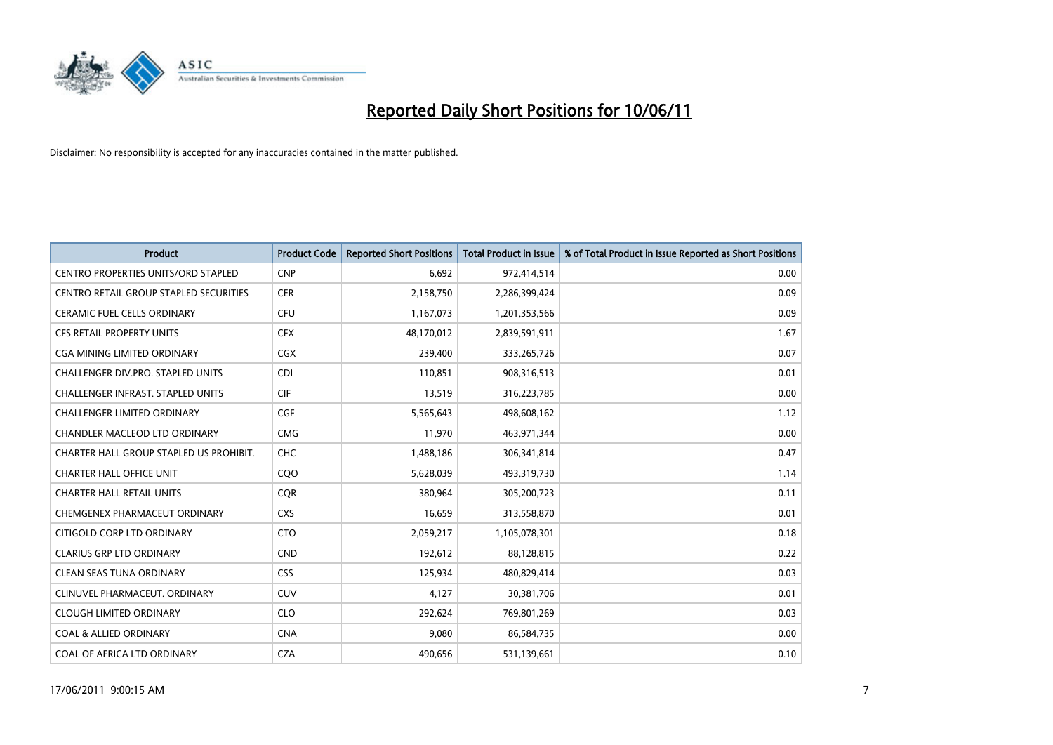

| <b>Product</b>                             | <b>Product Code</b> | <b>Reported Short Positions</b> | Total Product in Issue | % of Total Product in Issue Reported as Short Positions |
|--------------------------------------------|---------------------|---------------------------------|------------------------|---------------------------------------------------------|
| <b>CENTRO PROPERTIES UNITS/ORD STAPLED</b> | <b>CNP</b>          | 6.692                           | 972,414,514            | 0.00                                                    |
| CENTRO RETAIL GROUP STAPLED SECURITIES     | <b>CER</b>          | 2,158,750                       | 2,286,399,424          | 0.09                                                    |
| CERAMIC FUEL CELLS ORDINARY                | <b>CFU</b>          | 1,167,073                       | 1,201,353,566          | 0.09                                                    |
| CFS RETAIL PROPERTY UNITS                  | <b>CFX</b>          | 48,170,012                      | 2,839,591,911          | 1.67                                                    |
| <b>CGA MINING LIMITED ORDINARY</b>         | <b>CGX</b>          | 239,400                         | 333,265,726            | 0.07                                                    |
| <b>CHALLENGER DIV.PRO. STAPLED UNITS</b>   | <b>CDI</b>          | 110,851                         | 908,316,513            | 0.01                                                    |
| <b>CHALLENGER INFRAST, STAPLED UNITS</b>   | <b>CIF</b>          | 13,519                          | 316,223,785            | 0.00                                                    |
| <b>CHALLENGER LIMITED ORDINARY</b>         | CGF                 | 5,565,643                       | 498,608,162            | 1.12                                                    |
| CHANDLER MACLEOD LTD ORDINARY              | <b>CMG</b>          | 11,970                          | 463,971,344            | 0.00                                                    |
| CHARTER HALL GROUP STAPLED US PROHIBIT.    | <b>CHC</b>          | 1,488,186                       | 306,341,814            | 0.47                                                    |
| <b>CHARTER HALL OFFICE UNIT</b>            | CQO                 | 5,628,039                       | 493,319,730            | 1.14                                                    |
| <b>CHARTER HALL RETAIL UNITS</b>           | <b>COR</b>          | 380,964                         | 305,200,723            | 0.11                                                    |
| CHEMGENEX PHARMACEUT ORDINARY              | <b>CXS</b>          | 16,659                          | 313,558,870            | 0.01                                                    |
| CITIGOLD CORP LTD ORDINARY                 | <b>CTO</b>          | 2,059,217                       | 1,105,078,301          | 0.18                                                    |
| <b>CLARIUS GRP LTD ORDINARY</b>            | <b>CND</b>          | 192,612                         | 88,128,815             | 0.22                                                    |
| <b>CLEAN SEAS TUNA ORDINARY</b>            | <b>CSS</b>          | 125,934                         | 480,829,414            | 0.03                                                    |
| CLINUVEL PHARMACEUT, ORDINARY              | <b>CUV</b>          | 4,127                           | 30,381,706             | 0.01                                                    |
| <b>CLOUGH LIMITED ORDINARY</b>             | <b>CLO</b>          | 292,624                         | 769,801,269            | 0.03                                                    |
| <b>COAL &amp; ALLIED ORDINARY</b>          | <b>CNA</b>          | 9,080                           | 86,584,735             | 0.00                                                    |
| COAL OF AFRICA LTD ORDINARY                | <b>CZA</b>          | 490.656                         | 531,139,661            | 0.10                                                    |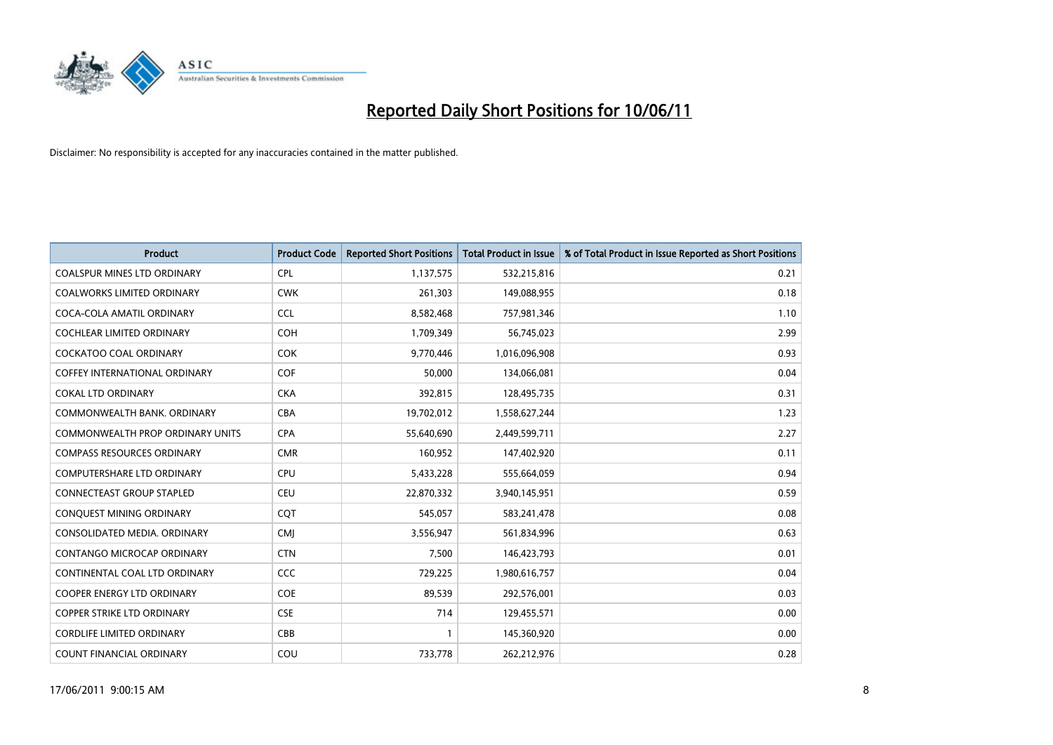

| <b>Product</b>                          | <b>Product Code</b> | <b>Reported Short Positions</b> | <b>Total Product in Issue</b> | % of Total Product in Issue Reported as Short Positions |
|-----------------------------------------|---------------------|---------------------------------|-------------------------------|---------------------------------------------------------|
| <b>COALSPUR MINES LTD ORDINARY</b>      | <b>CPL</b>          | 1,137,575                       | 532,215,816                   | 0.21                                                    |
| <b>COALWORKS LIMITED ORDINARY</b>       | <b>CWK</b>          | 261,303                         | 149,088,955                   | 0.18                                                    |
| COCA-COLA AMATIL ORDINARY               | <b>CCL</b>          | 8,582,468                       | 757,981,346                   | 1.10                                                    |
| <b>COCHLEAR LIMITED ORDINARY</b>        | COH                 | 1,709,349                       | 56,745,023                    | 2.99                                                    |
| <b>COCKATOO COAL ORDINARY</b>           | <b>COK</b>          | 9,770,446                       | 1,016,096,908                 | 0.93                                                    |
| <b>COFFEY INTERNATIONAL ORDINARY</b>    | COF                 | 50,000                          | 134,066,081                   | 0.04                                                    |
| <b>COKAL LTD ORDINARY</b>               | <b>CKA</b>          | 392,815                         | 128,495,735                   | 0.31                                                    |
| COMMONWEALTH BANK, ORDINARY             | CBA                 | 19,702,012                      | 1,558,627,244                 | 1.23                                                    |
| <b>COMMONWEALTH PROP ORDINARY UNITS</b> | <b>CPA</b>          | 55,640,690                      | 2,449,599,711                 | 2.27                                                    |
| <b>COMPASS RESOURCES ORDINARY</b>       | <b>CMR</b>          | 160,952                         | 147,402,920                   | 0.11                                                    |
| COMPUTERSHARE LTD ORDINARY              | <b>CPU</b>          | 5,433,228                       | 555,664,059                   | 0.94                                                    |
| <b>CONNECTEAST GROUP STAPLED</b>        | CEU                 | 22,870,332                      | 3,940,145,951                 | 0.59                                                    |
| CONQUEST MINING ORDINARY                | CQT                 | 545,057                         | 583,241,478                   | 0.08                                                    |
| CONSOLIDATED MEDIA, ORDINARY            | <b>CMI</b>          | 3,556,947                       | 561,834,996                   | 0.63                                                    |
| CONTANGO MICROCAP ORDINARY              | <b>CTN</b>          | 7,500                           | 146,423,793                   | 0.01                                                    |
| CONTINENTAL COAL LTD ORDINARY           | CCC                 | 729,225                         | 1,980,616,757                 | 0.04                                                    |
| COOPER ENERGY LTD ORDINARY              | <b>COE</b>          | 89,539                          | 292,576,001                   | 0.03                                                    |
| <b>COPPER STRIKE LTD ORDINARY</b>       | <b>CSE</b>          | 714                             | 129,455,571                   | 0.00                                                    |
| <b>CORDLIFE LIMITED ORDINARY</b>        | CBB                 |                                 | 145,360,920                   | 0.00                                                    |
| <b>COUNT FINANCIAL ORDINARY</b>         | COU                 | 733,778                         | 262,212,976                   | 0.28                                                    |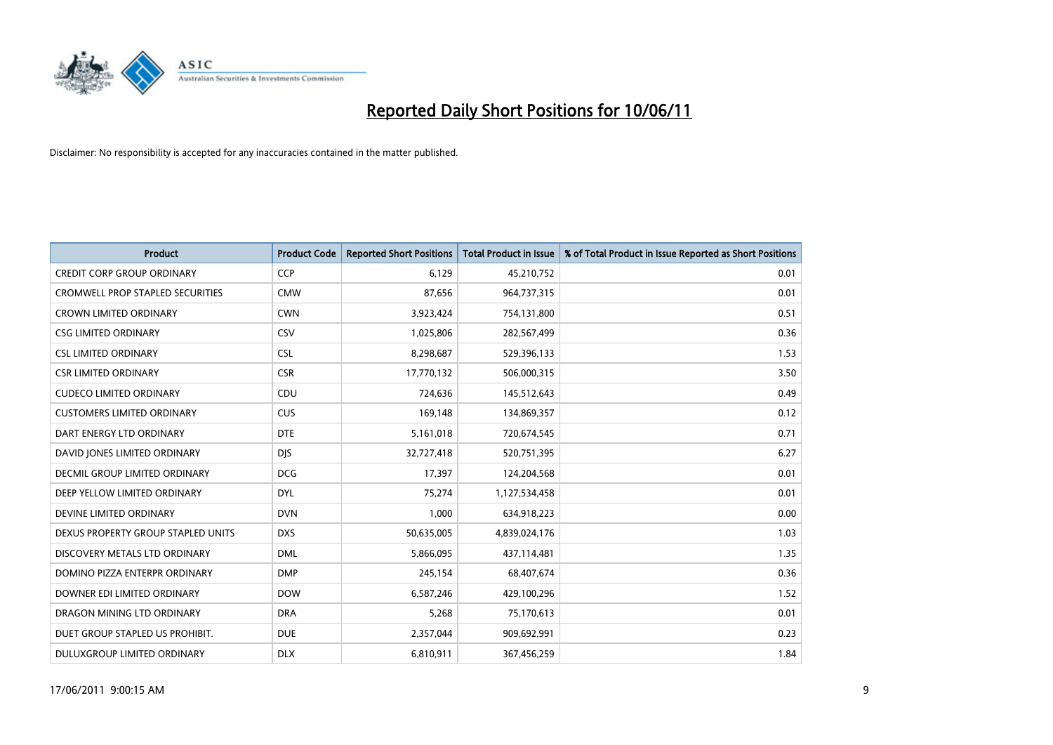

| <b>Product</b>                          | <b>Product Code</b> | <b>Reported Short Positions</b> | Total Product in Issue | % of Total Product in Issue Reported as Short Positions |
|-----------------------------------------|---------------------|---------------------------------|------------------------|---------------------------------------------------------|
| <b>CREDIT CORP GROUP ORDINARY</b>       | <b>CCP</b>          | 6,129                           | 45,210,752             | 0.01                                                    |
| <b>CROMWELL PROP STAPLED SECURITIES</b> | <b>CMW</b>          | 87,656                          | 964,737,315            | 0.01                                                    |
| <b>CROWN LIMITED ORDINARY</b>           | <b>CWN</b>          | 3,923,424                       | 754,131,800            | 0.51                                                    |
| <b>CSG LIMITED ORDINARY</b>             | CSV                 | 1,025,806                       | 282,567,499            | 0.36                                                    |
| <b>CSL LIMITED ORDINARY</b>             | <b>CSL</b>          | 8,298,687                       | 529,396,133            | 1.53                                                    |
| <b>CSR LIMITED ORDINARY</b>             | <b>CSR</b>          | 17,770,132                      | 506,000,315            | 3.50                                                    |
| <b>CUDECO LIMITED ORDINARY</b>          | CDU                 | 724,636                         | 145,512,643            | 0.49                                                    |
| <b>CUSTOMERS LIMITED ORDINARY</b>       | CUS                 | 169,148                         | 134,869,357            | 0.12                                                    |
| DART ENERGY LTD ORDINARY                | <b>DTE</b>          | 5,161,018                       | 720,674,545            | 0.71                                                    |
| DAVID JONES LIMITED ORDINARY            | <b>DIS</b>          | 32,727,418                      | 520,751,395            | 6.27                                                    |
| DECMIL GROUP LIMITED ORDINARY           | <b>DCG</b>          | 17,397                          | 124,204,568            | 0.01                                                    |
| DEEP YELLOW LIMITED ORDINARY            | <b>DYL</b>          | 75,274                          | 1,127,534,458          | 0.01                                                    |
| DEVINE LIMITED ORDINARY                 | <b>DVN</b>          | 1,000                           | 634,918,223            | 0.00                                                    |
| DEXUS PROPERTY GROUP STAPLED UNITS      | <b>DXS</b>          | 50,635,005                      | 4,839,024,176          | 1.03                                                    |
| DISCOVERY METALS LTD ORDINARY           | <b>DML</b>          | 5,866,095                       | 437,114,481            | 1.35                                                    |
| DOMINO PIZZA ENTERPR ORDINARY           | <b>DMP</b>          | 245,154                         | 68,407,674             | 0.36                                                    |
| DOWNER EDI LIMITED ORDINARY             | <b>DOW</b>          | 6,587,246                       | 429,100,296            | 1.52                                                    |
| DRAGON MINING LTD ORDINARY              | <b>DRA</b>          | 5,268                           | 75,170,613             | 0.01                                                    |
| DUET GROUP STAPLED US PROHIBIT.         | <b>DUE</b>          | 2,357,044                       | 909,692,991            | 0.23                                                    |
| DULUXGROUP LIMITED ORDINARY             | <b>DLX</b>          | 6,810,911                       | 367,456,259            | 1.84                                                    |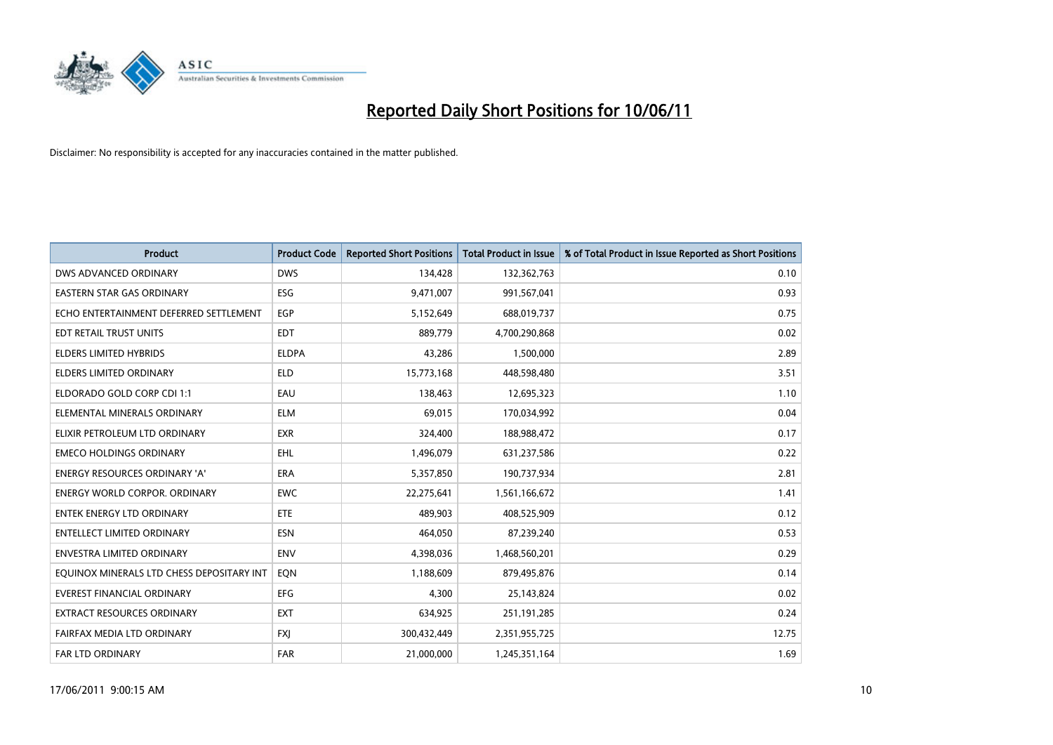

| <b>Product</b>                            | <b>Product Code</b> | <b>Reported Short Positions</b> | <b>Total Product in Issue</b> | % of Total Product in Issue Reported as Short Positions |
|-------------------------------------------|---------------------|---------------------------------|-------------------------------|---------------------------------------------------------|
| DWS ADVANCED ORDINARY                     | <b>DWS</b>          | 134,428                         | 132,362,763                   | 0.10                                                    |
| EASTERN STAR GAS ORDINARY                 | ESG                 | 9,471,007                       | 991,567,041                   | 0.93                                                    |
| ECHO ENTERTAINMENT DEFERRED SETTLEMENT    | <b>EGP</b>          | 5,152,649                       | 688,019,737                   | 0.75                                                    |
| EDT RETAIL TRUST UNITS                    | <b>EDT</b>          | 889,779                         | 4,700,290,868                 | 0.02                                                    |
| <b>ELDERS LIMITED HYBRIDS</b>             | <b>ELDPA</b>        | 43,286                          | 1,500,000                     | 2.89                                                    |
| <b>ELDERS LIMITED ORDINARY</b>            | <b>ELD</b>          | 15,773,168                      | 448,598,480                   | 3.51                                                    |
| ELDORADO GOLD CORP CDI 1:1                | EAU                 | 138,463                         | 12,695,323                    | 1.10                                                    |
| ELEMENTAL MINERALS ORDINARY               | <b>ELM</b>          | 69,015                          | 170,034,992                   | 0.04                                                    |
| ELIXIR PETROLEUM LTD ORDINARY             | <b>EXR</b>          | 324,400                         | 188,988,472                   | 0.17                                                    |
| <b>EMECO HOLDINGS ORDINARY</b>            | <b>EHL</b>          | 1,496,079                       | 631,237,586                   | 0.22                                                    |
| ENERGY RESOURCES ORDINARY 'A'             | <b>ERA</b>          | 5,357,850                       | 190,737,934                   | 2.81                                                    |
| <b>ENERGY WORLD CORPOR, ORDINARY</b>      | <b>EWC</b>          | 22,275,641                      | 1,561,166,672                 | 1.41                                                    |
| ENTEK ENERGY LTD ORDINARY                 | ETE                 | 489,903                         | 408,525,909                   | 0.12                                                    |
| <b>ENTELLECT LIMITED ORDINARY</b>         | <b>ESN</b>          | 464,050                         | 87,239,240                    | 0.53                                                    |
| <b>ENVESTRA LIMITED ORDINARY</b>          | <b>ENV</b>          | 4,398,036                       | 1,468,560,201                 | 0.29                                                    |
| EQUINOX MINERALS LTD CHESS DEPOSITARY INT | EON                 | 1,188,609                       | 879,495,876                   | 0.14                                                    |
| EVEREST FINANCIAL ORDINARY                | EFG                 | 4,300                           | 25,143,824                    | 0.02                                                    |
| EXTRACT RESOURCES ORDINARY                | <b>EXT</b>          | 634,925                         | 251,191,285                   | 0.24                                                    |
| FAIRFAX MEDIA LTD ORDINARY                | <b>FXI</b>          | 300,432,449                     | 2,351,955,725                 | 12.75                                                   |
| FAR LTD ORDINARY                          | <b>FAR</b>          | 21,000,000                      | 1,245,351,164                 | 1.69                                                    |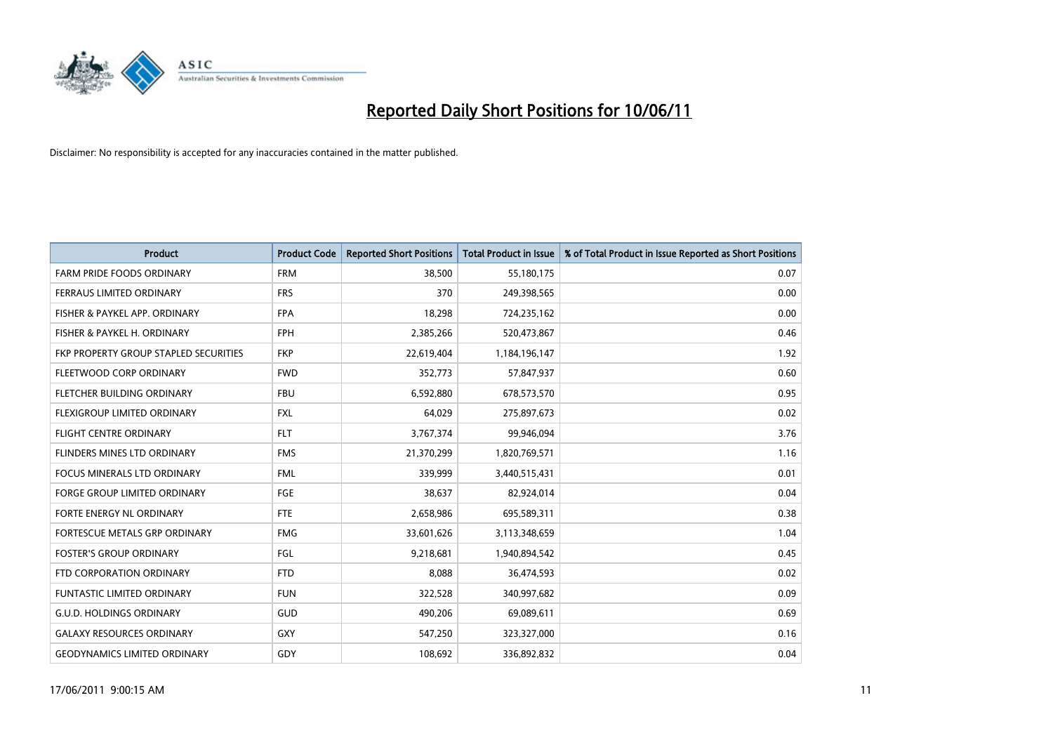

| <b>Product</b>                        | <b>Product Code</b> | <b>Reported Short Positions</b> | <b>Total Product in Issue</b> | % of Total Product in Issue Reported as Short Positions |
|---------------------------------------|---------------------|---------------------------------|-------------------------------|---------------------------------------------------------|
| <b>FARM PRIDE FOODS ORDINARY</b>      | <b>FRM</b>          | 38,500                          | 55,180,175                    | 0.07                                                    |
| FERRAUS LIMITED ORDINARY              | <b>FRS</b>          | 370                             | 249,398,565                   | 0.00                                                    |
| FISHER & PAYKEL APP. ORDINARY         | <b>FPA</b>          | 18,298                          | 724,235,162                   | 0.00                                                    |
| FISHER & PAYKEL H. ORDINARY           | <b>FPH</b>          | 2,385,266                       | 520,473,867                   | 0.46                                                    |
| FKP PROPERTY GROUP STAPLED SECURITIES | <b>FKP</b>          | 22,619,404                      | 1,184,196,147                 | 1.92                                                    |
| FLEETWOOD CORP ORDINARY               | <b>FWD</b>          | 352,773                         | 57,847,937                    | 0.60                                                    |
| FLETCHER BUILDING ORDINARY            | <b>FBU</b>          | 6,592,880                       | 678,573,570                   | 0.95                                                    |
| FLEXIGROUP LIMITED ORDINARY           | <b>FXL</b>          | 64,029                          | 275,897,673                   | 0.02                                                    |
| <b>FLIGHT CENTRE ORDINARY</b>         | <b>FLT</b>          | 3,767,374                       | 99,946,094                    | 3.76                                                    |
| FLINDERS MINES LTD ORDINARY           | <b>FMS</b>          | 21,370,299                      | 1,820,769,571                 | 1.16                                                    |
| FOCUS MINERALS LTD ORDINARY           | <b>FML</b>          | 339,999                         | 3,440,515,431                 | 0.01                                                    |
| <b>FORGE GROUP LIMITED ORDINARY</b>   | <b>FGE</b>          | 38,637                          | 82,924,014                    | 0.04                                                    |
| FORTE ENERGY NL ORDINARY              | <b>FTE</b>          | 2,658,986                       | 695,589,311                   | 0.38                                                    |
| <b>FORTESCUE METALS GRP ORDINARY</b>  | <b>FMG</b>          | 33,601,626                      | 3,113,348,659                 | 1.04                                                    |
| <b>FOSTER'S GROUP ORDINARY</b>        | FGL                 | 9,218,681                       | 1,940,894,542                 | 0.45                                                    |
| FTD CORPORATION ORDINARY              | <b>FTD</b>          | 8,088                           | 36,474,593                    | 0.02                                                    |
| FUNTASTIC LIMITED ORDINARY            | <b>FUN</b>          | 322,528                         | 340,997,682                   | 0.09                                                    |
| <b>G.U.D. HOLDINGS ORDINARY</b>       | GUD                 | 490,206                         | 69,089,611                    | 0.69                                                    |
| <b>GALAXY RESOURCES ORDINARY</b>      | <b>GXY</b>          | 547,250                         | 323,327,000                   | 0.16                                                    |
| <b>GEODYNAMICS LIMITED ORDINARY</b>   | GDY                 | 108,692                         | 336,892,832                   | 0.04                                                    |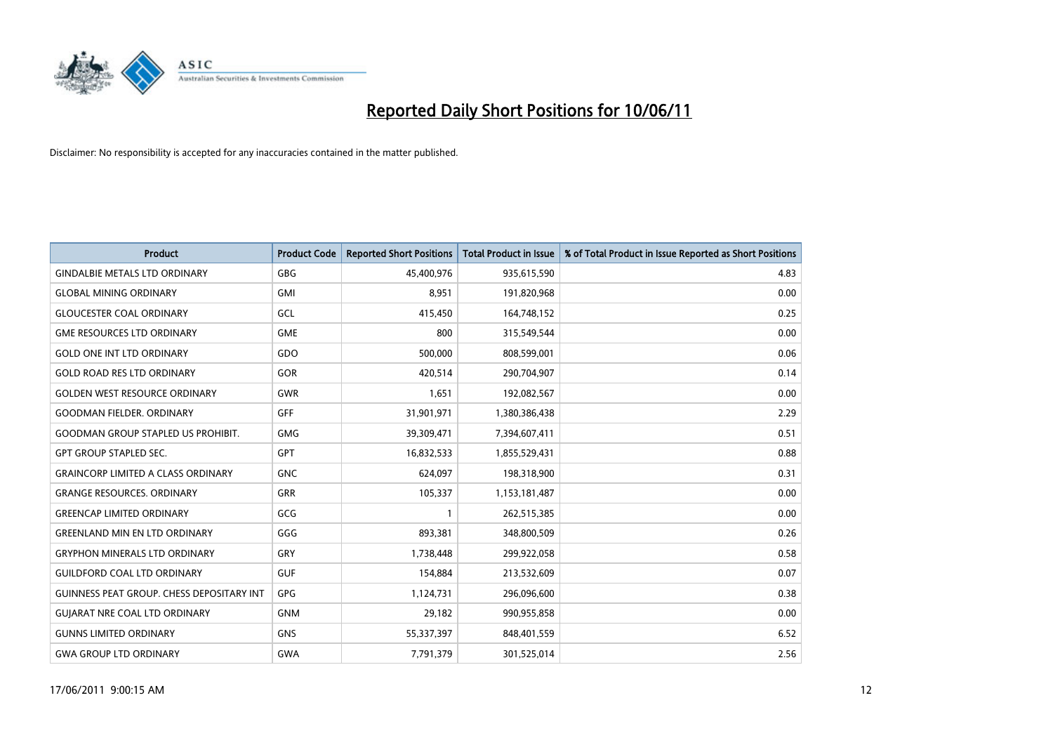

| <b>Product</b>                                   | <b>Product Code</b> | <b>Reported Short Positions</b> | <b>Total Product in Issue</b> | % of Total Product in Issue Reported as Short Positions |
|--------------------------------------------------|---------------------|---------------------------------|-------------------------------|---------------------------------------------------------|
| <b>GINDALBIE METALS LTD ORDINARY</b>             | <b>GBG</b>          | 45,400,976                      | 935,615,590                   | 4.83                                                    |
| <b>GLOBAL MINING ORDINARY</b>                    | <b>GMI</b>          | 8,951                           | 191,820,968                   | 0.00                                                    |
| <b>GLOUCESTER COAL ORDINARY</b>                  | GCL                 | 415,450                         | 164,748,152                   | 0.25                                                    |
| <b>GME RESOURCES LTD ORDINARY</b>                | <b>GME</b>          | 800                             | 315,549,544                   | 0.00                                                    |
| <b>GOLD ONE INT LTD ORDINARY</b>                 | GDO                 | 500,000                         | 808,599,001                   | 0.06                                                    |
| <b>GOLD ROAD RES LTD ORDINARY</b>                | GOR                 | 420,514                         | 290,704,907                   | 0.14                                                    |
| <b>GOLDEN WEST RESOURCE ORDINARY</b>             | <b>GWR</b>          | 1,651                           | 192,082,567                   | 0.00                                                    |
| <b>GOODMAN FIELDER, ORDINARY</b>                 | GFF                 | 31,901,971                      | 1,380,386,438                 | 2.29                                                    |
| <b>GOODMAN GROUP STAPLED US PROHIBIT.</b>        | <b>GMG</b>          | 39,309,471                      | 7,394,607,411                 | 0.51                                                    |
| <b>GPT GROUP STAPLED SEC.</b>                    | <b>GPT</b>          | 16,832,533                      | 1,855,529,431                 | 0.88                                                    |
| <b>GRAINCORP LIMITED A CLASS ORDINARY</b>        | <b>GNC</b>          | 624,097                         | 198,318,900                   | 0.31                                                    |
| <b>GRANGE RESOURCES, ORDINARY</b>                | <b>GRR</b>          | 105,337                         | 1,153,181,487                 | 0.00                                                    |
| <b>GREENCAP LIMITED ORDINARY</b>                 | GCG                 |                                 | 262,515,385                   | 0.00                                                    |
| <b>GREENLAND MIN EN LTD ORDINARY</b>             | GGG                 | 893,381                         | 348,800,509                   | 0.26                                                    |
| <b>GRYPHON MINERALS LTD ORDINARY</b>             | GRY                 | 1,738,448                       | 299,922,058                   | 0.58                                                    |
| <b>GUILDFORD COAL LTD ORDINARY</b>               | <b>GUF</b>          | 154,884                         | 213,532,609                   | 0.07                                                    |
| <b>GUINNESS PEAT GROUP. CHESS DEPOSITARY INT</b> | GPG                 | 1,124,731                       | 296,096,600                   | 0.38                                                    |
| <b>GUIARAT NRE COAL LTD ORDINARY</b>             | <b>GNM</b>          | 29,182                          | 990,955,858                   | 0.00                                                    |
| <b>GUNNS LIMITED ORDINARY</b>                    | <b>GNS</b>          | 55,337,397                      | 848,401,559                   | 6.52                                                    |
| <b>GWA GROUP LTD ORDINARY</b>                    | <b>GWA</b>          | 7,791,379                       | 301,525,014                   | 2.56                                                    |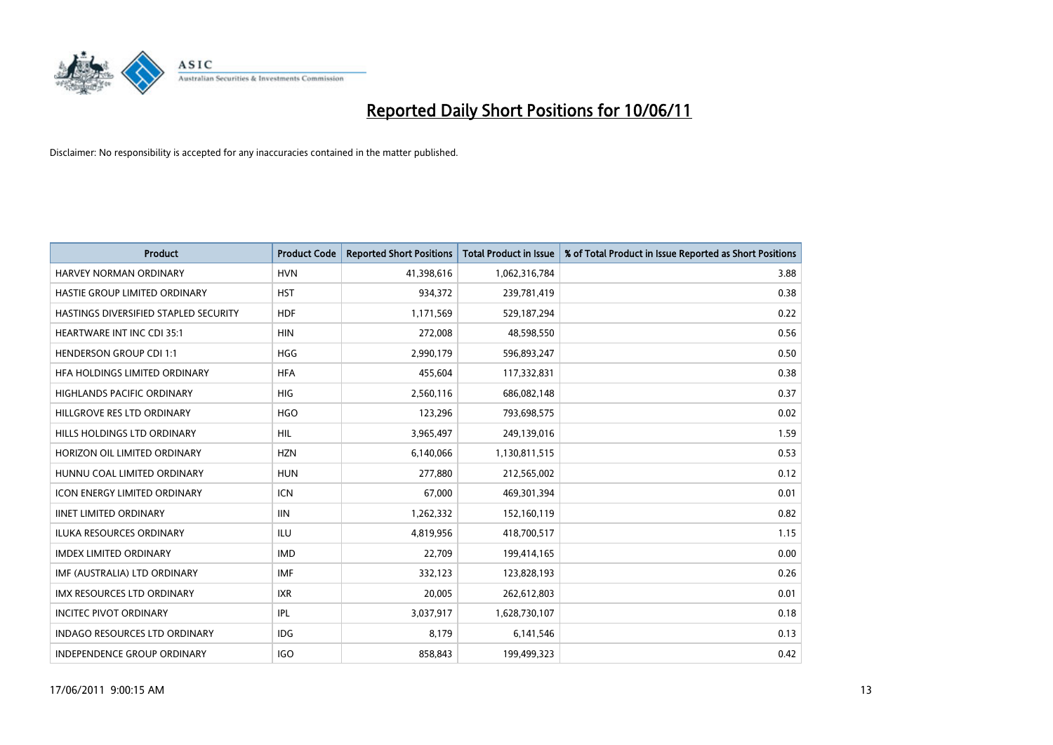

| <b>Product</b>                        | <b>Product Code</b> | <b>Reported Short Positions</b> | Total Product in Issue | % of Total Product in Issue Reported as Short Positions |
|---------------------------------------|---------------------|---------------------------------|------------------------|---------------------------------------------------------|
| <b>HARVEY NORMAN ORDINARY</b>         | <b>HVN</b>          | 41,398,616                      | 1,062,316,784          | 3.88                                                    |
| HASTIE GROUP LIMITED ORDINARY         | <b>HST</b>          | 934,372                         | 239,781,419            | 0.38                                                    |
| HASTINGS DIVERSIFIED STAPLED SECURITY | <b>HDF</b>          | 1,171,569                       | 529,187,294            | 0.22                                                    |
| <b>HEARTWARE INT INC CDI 35:1</b>     | <b>HIN</b>          | 272,008                         | 48,598,550             | 0.56                                                    |
| <b>HENDERSON GROUP CDI 1:1</b>        | <b>HGG</b>          | 2,990,179                       | 596,893,247            | 0.50                                                    |
| HFA HOLDINGS LIMITED ORDINARY         | <b>HFA</b>          | 455.604                         | 117,332,831            | 0.38                                                    |
| HIGHLANDS PACIFIC ORDINARY            | <b>HIG</b>          | 2,560,116                       | 686,082,148            | 0.37                                                    |
| HILLGROVE RES LTD ORDINARY            | <b>HGO</b>          | 123,296                         | 793,698,575            | 0.02                                                    |
| HILLS HOLDINGS LTD ORDINARY           | HIL                 | 3,965,497                       | 249,139,016            | 1.59                                                    |
| HORIZON OIL LIMITED ORDINARY          | <b>HZN</b>          | 6,140,066                       | 1,130,811,515          | 0.53                                                    |
| HUNNU COAL LIMITED ORDINARY           | <b>HUN</b>          | 277,880                         | 212,565,002            | 0.12                                                    |
| <b>ICON ENERGY LIMITED ORDINARY</b>   | <b>ICN</b>          | 67,000                          | 469,301,394            | 0.01                                                    |
| <b>IINET LIMITED ORDINARY</b>         | <b>IIN</b>          | 1,262,332                       | 152,160,119            | 0.82                                                    |
| <b>ILUKA RESOURCES ORDINARY</b>       | ILU                 | 4,819,956                       | 418,700,517            | 1.15                                                    |
| <b>IMDEX LIMITED ORDINARY</b>         | <b>IMD</b>          | 22,709                          | 199,414,165            | 0.00                                                    |
| IMF (AUSTRALIA) LTD ORDINARY          | <b>IMF</b>          | 332,123                         | 123,828,193            | 0.26                                                    |
| <b>IMX RESOURCES LTD ORDINARY</b>     | <b>IXR</b>          | 20,005                          | 262,612,803            | 0.01                                                    |
| <b>INCITEC PIVOT ORDINARY</b>         | <b>IPL</b>          | 3,037,917                       | 1,628,730,107          | 0.18                                                    |
| <b>INDAGO RESOURCES LTD ORDINARY</b>  | <b>IDG</b>          | 8,179                           | 6,141,546              | 0.13                                                    |
| INDEPENDENCE GROUP ORDINARY           | <b>IGO</b>          | 858,843                         | 199,499,323            | 0.42                                                    |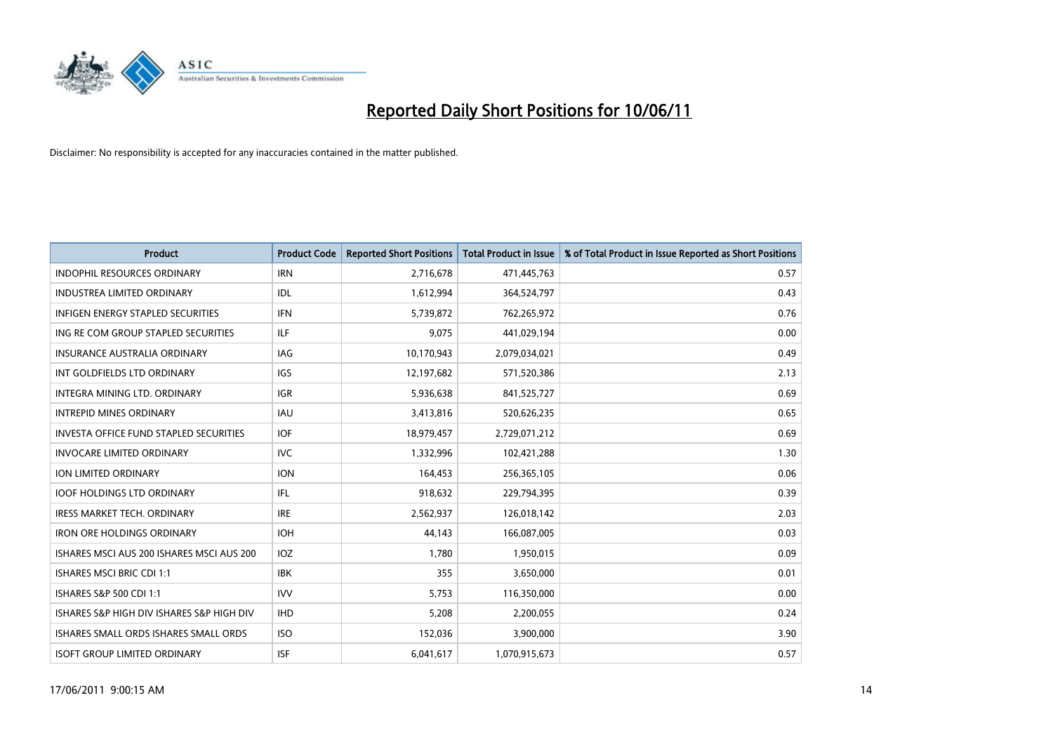

| <b>Product</b>                            | <b>Product Code</b> | <b>Reported Short Positions</b> | <b>Total Product in Issue</b> | % of Total Product in Issue Reported as Short Positions |
|-------------------------------------------|---------------------|---------------------------------|-------------------------------|---------------------------------------------------------|
| <b>INDOPHIL RESOURCES ORDINARY</b>        | <b>IRN</b>          | 2,716,678                       | 471,445,763                   | 0.57                                                    |
| <b>INDUSTREA LIMITED ORDINARY</b>         | IDL                 | 1,612,994                       | 364,524,797                   | 0.43                                                    |
| <b>INFIGEN ENERGY STAPLED SECURITIES</b>  | <b>IFN</b>          | 5,739,872                       | 762,265,972                   | 0.76                                                    |
| ING RE COM GROUP STAPLED SECURITIES       | <b>ILF</b>          | 9,075                           | 441,029,194                   | 0.00                                                    |
| <b>INSURANCE AUSTRALIA ORDINARY</b>       | IAG                 | 10,170,943                      | 2,079,034,021                 | 0.49                                                    |
| INT GOLDFIELDS LTD ORDINARY               | <b>IGS</b>          | 12,197,682                      | 571,520,386                   | 2.13                                                    |
| INTEGRA MINING LTD, ORDINARY              | <b>IGR</b>          | 5,936,638                       | 841,525,727                   | 0.69                                                    |
| <b>INTREPID MINES ORDINARY</b>            | <b>IAU</b>          | 3,413,816                       | 520,626,235                   | 0.65                                                    |
| INVESTA OFFICE FUND STAPLED SECURITIES    | <b>IOF</b>          | 18,979,457                      | 2,729,071,212                 | 0.69                                                    |
| <b>INVOCARE LIMITED ORDINARY</b>          | <b>IVC</b>          | 1,332,996                       | 102,421,288                   | 1.30                                                    |
| <b>ION LIMITED ORDINARY</b>               | <b>ION</b>          | 164,453                         | 256,365,105                   | 0.06                                                    |
| <b>IOOF HOLDINGS LTD ORDINARY</b>         | IFL                 | 918,632                         | 229,794,395                   | 0.39                                                    |
| <b>IRESS MARKET TECH. ORDINARY</b>        | <b>IRE</b>          | 2.562.937                       | 126,018,142                   | 2.03                                                    |
| <b>IRON ORE HOLDINGS ORDINARY</b>         | <b>IOH</b>          | 44,143                          | 166,087,005                   | 0.03                                                    |
| ISHARES MSCI AUS 200 ISHARES MSCI AUS 200 | <b>IOZ</b>          | 1,780                           | 1,950,015                     | 0.09                                                    |
| <b>ISHARES MSCI BRIC CDI 1:1</b>          | <b>IBK</b>          | 355                             | 3,650,000                     | 0.01                                                    |
| ISHARES S&P 500 CDI 1:1                   | <b>IVV</b>          | 5,753                           | 116,350,000                   | 0.00                                                    |
| ISHARES S&P HIGH DIV ISHARES S&P HIGH DIV | <b>IHD</b>          | 5,208                           | 2,200,055                     | 0.24                                                    |
| ISHARES SMALL ORDS ISHARES SMALL ORDS     | <b>ISO</b>          | 152,036                         | 3,900,000                     | 3.90                                                    |
| <b>ISOFT GROUP LIMITED ORDINARY</b>       | <b>ISF</b>          | 6,041,617                       | 1,070,915,673                 | 0.57                                                    |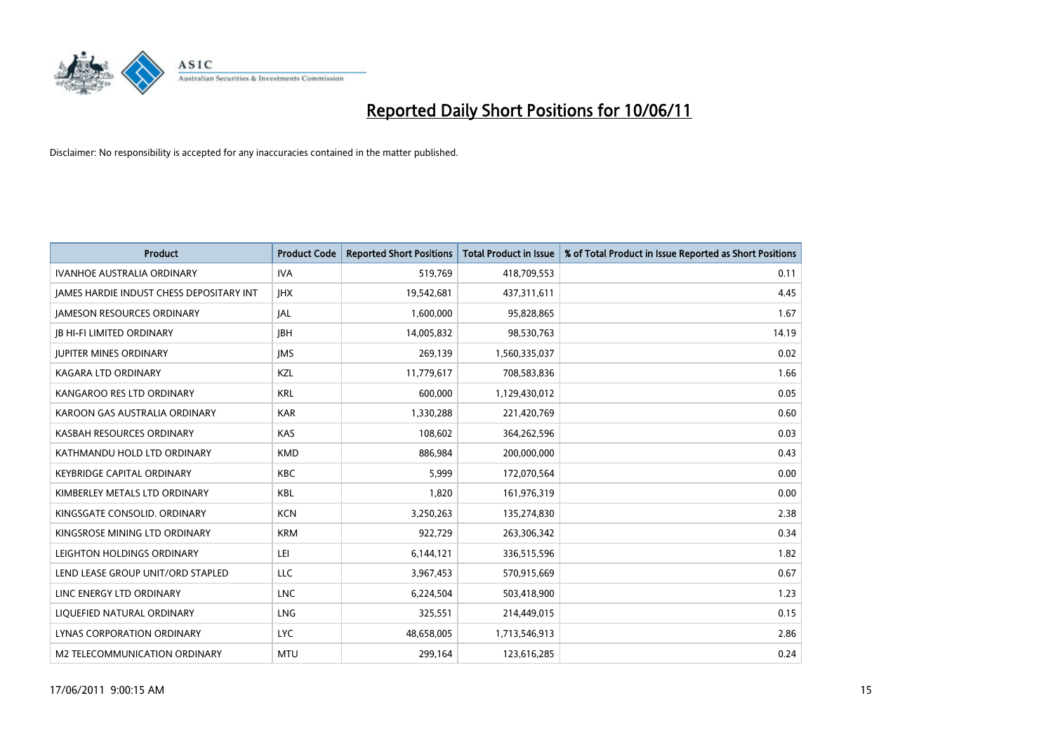

| <b>Product</b>                           | <b>Product Code</b> | <b>Reported Short Positions</b> | <b>Total Product in Issue</b> | % of Total Product in Issue Reported as Short Positions |
|------------------------------------------|---------------------|---------------------------------|-------------------------------|---------------------------------------------------------|
| <b>IVANHOE AUSTRALIA ORDINARY</b>        | <b>IVA</b>          | 519,769                         | 418,709,553                   | 0.11                                                    |
| JAMES HARDIE INDUST CHESS DEPOSITARY INT | <b>IHX</b>          | 19,542,681                      | 437,311,611                   | 4.45                                                    |
| <b>JAMESON RESOURCES ORDINARY</b>        | <b>JAL</b>          | 1,600,000                       | 95,828,865                    | 1.67                                                    |
| <b>JB HI-FI LIMITED ORDINARY</b>         | <b>IBH</b>          | 14,005,832                      | 98,530,763                    | 14.19                                                   |
| <b>JUPITER MINES ORDINARY</b>            | <b>IMS</b>          | 269,139                         | 1,560,335,037                 | 0.02                                                    |
| KAGARA LTD ORDINARY                      | KZL                 | 11,779,617                      | 708,583,836                   | 1.66                                                    |
| KANGAROO RES LTD ORDINARY                | <b>KRL</b>          | 600,000                         | 1,129,430,012                 | 0.05                                                    |
| KAROON GAS AUSTRALIA ORDINARY            | <b>KAR</b>          | 1,330,288                       | 221,420,769                   | 0.60                                                    |
| KASBAH RESOURCES ORDINARY                | <b>KAS</b>          | 108,602                         | 364,262,596                   | 0.03                                                    |
| KATHMANDU HOLD LTD ORDINARY              | <b>KMD</b>          | 886,984                         | 200,000,000                   | 0.43                                                    |
| <b>KEYBRIDGE CAPITAL ORDINARY</b>        | <b>KBC</b>          | 5,999                           | 172,070,564                   | 0.00                                                    |
| KIMBERLEY METALS LTD ORDINARY            | <b>KBL</b>          | 1,820                           | 161,976,319                   | 0.00                                                    |
| KINGSGATE CONSOLID. ORDINARY             | <b>KCN</b>          | 3,250,263                       | 135,274,830                   | 2.38                                                    |
| KINGSROSE MINING LTD ORDINARY            | <b>KRM</b>          | 922,729                         | 263,306,342                   | 0.34                                                    |
| LEIGHTON HOLDINGS ORDINARY               | LEI                 | 6,144,121                       | 336,515,596                   | 1.82                                                    |
| LEND LEASE GROUP UNIT/ORD STAPLED        | LLC                 | 3,967,453                       | 570,915,669                   | 0.67                                                    |
| LINC ENERGY LTD ORDINARY                 | <b>LNC</b>          | 6,224,504                       | 503,418,900                   | 1.23                                                    |
| LIQUEFIED NATURAL ORDINARY               | LNG                 | 325,551                         | 214,449,015                   | 0.15                                                    |
| LYNAS CORPORATION ORDINARY               | <b>LYC</b>          | 48,658,005                      | 1,713,546,913                 | 2.86                                                    |
| M2 TELECOMMUNICATION ORDINARY            | <b>MTU</b>          | 299,164                         | 123,616,285                   | 0.24                                                    |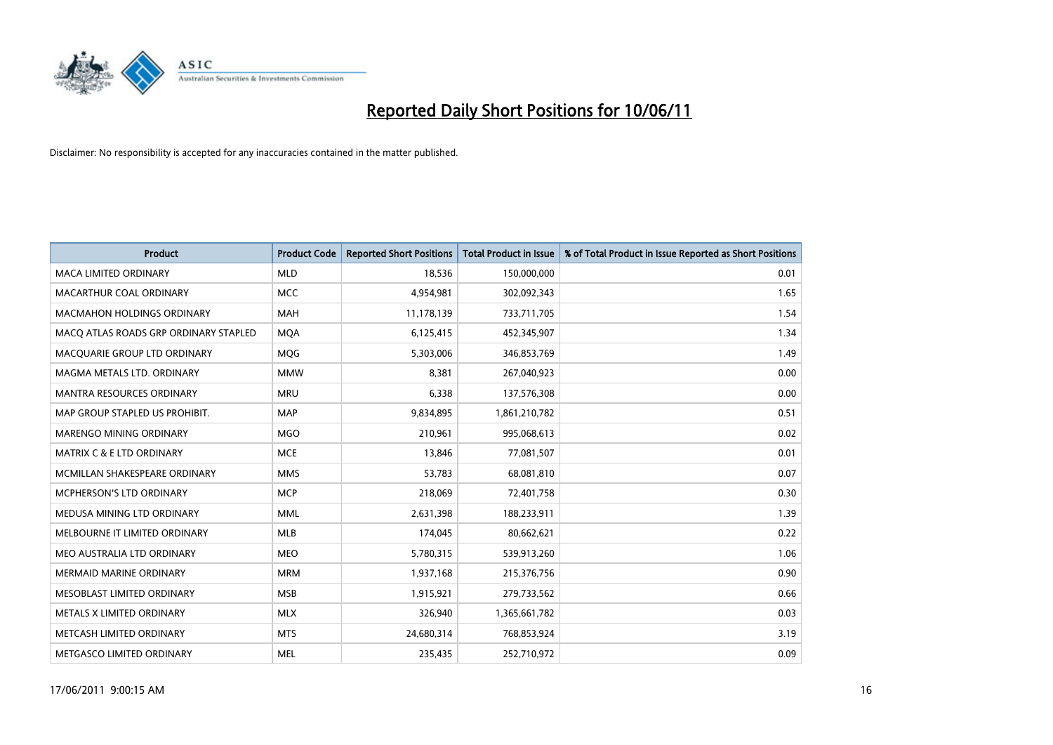

| <b>Product</b>                        | <b>Product Code</b> | <b>Reported Short Positions</b> | <b>Total Product in Issue</b> | % of Total Product in Issue Reported as Short Positions |
|---------------------------------------|---------------------|---------------------------------|-------------------------------|---------------------------------------------------------|
| <b>MACA LIMITED ORDINARY</b>          | <b>MLD</b>          | 18,536                          | 150,000,000                   | 0.01                                                    |
| MACARTHUR COAL ORDINARY               | <b>MCC</b>          | 4,954,981                       | 302,092,343                   | 1.65                                                    |
| <b>MACMAHON HOLDINGS ORDINARY</b>     | <b>MAH</b>          | 11,178,139                      | 733,711,705                   | 1.54                                                    |
| MACO ATLAS ROADS GRP ORDINARY STAPLED | <b>MOA</b>          | 6,125,415                       | 452,345,907                   | 1.34                                                    |
| MACQUARIE GROUP LTD ORDINARY          | MQG                 | 5,303,006                       | 346,853,769                   | 1.49                                                    |
| MAGMA METALS LTD. ORDINARY            | <b>MMW</b>          | 8,381                           | 267,040,923                   | 0.00                                                    |
| MANTRA RESOURCES ORDINARY             | <b>MRU</b>          | 6,338                           | 137,576,308                   | 0.00                                                    |
| MAP GROUP STAPLED US PROHIBIT.        | <b>MAP</b>          | 9,834,895                       | 1,861,210,782                 | 0.51                                                    |
| MARENGO MINING ORDINARY               | <b>MGO</b>          | 210,961                         | 995,068,613                   | 0.02                                                    |
| <b>MATRIX C &amp; E LTD ORDINARY</b>  | <b>MCE</b>          | 13,846                          | 77,081,507                    | 0.01                                                    |
| MCMILLAN SHAKESPEARE ORDINARY         | <b>MMS</b>          | 53,783                          | 68,081,810                    | 0.07                                                    |
| MCPHERSON'S LTD ORDINARY              | <b>MCP</b>          | 218,069                         | 72,401,758                    | 0.30                                                    |
| MEDUSA MINING LTD ORDINARY            | <b>MML</b>          | 2,631,398                       | 188,233,911                   | 1.39                                                    |
| MELBOURNE IT LIMITED ORDINARY         | <b>MLB</b>          | 174,045                         | 80,662,621                    | 0.22                                                    |
| MEO AUSTRALIA LTD ORDINARY            | <b>MEO</b>          | 5,780,315                       | 539,913,260                   | 1.06                                                    |
| <b>MERMAID MARINE ORDINARY</b>        | <b>MRM</b>          | 1,937,168                       | 215,376,756                   | 0.90                                                    |
| MESOBLAST LIMITED ORDINARY            | <b>MSB</b>          | 1,915,921                       | 279,733,562                   | 0.66                                                    |
| METALS X LIMITED ORDINARY             | <b>MLX</b>          | 326,940                         | 1,365,661,782                 | 0.03                                                    |
| METCASH LIMITED ORDINARY              | <b>MTS</b>          | 24,680,314                      | 768,853,924                   | 3.19                                                    |
| METGASCO LIMITED ORDINARY             | <b>MEL</b>          | 235,435                         | 252,710,972                   | 0.09                                                    |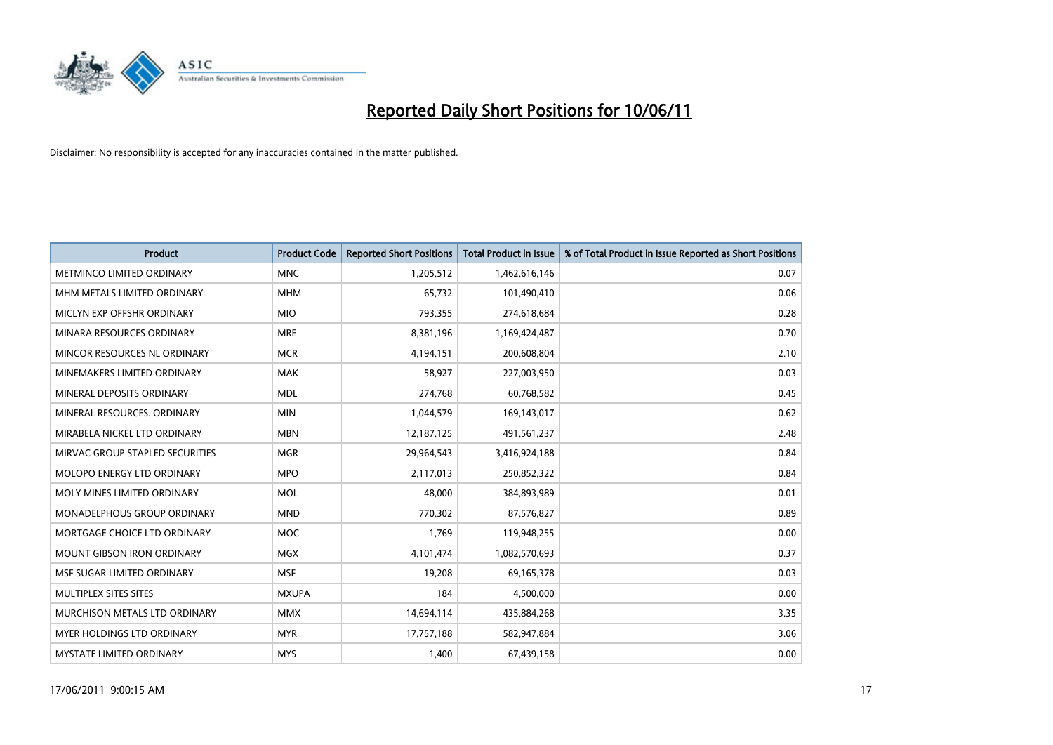

| <b>Product</b>                    | <b>Product Code</b> | <b>Reported Short Positions</b> | <b>Total Product in Issue</b> | % of Total Product in Issue Reported as Short Positions |
|-----------------------------------|---------------------|---------------------------------|-------------------------------|---------------------------------------------------------|
| METMINCO LIMITED ORDINARY         | <b>MNC</b>          | 1,205,512                       | 1,462,616,146                 | 0.07                                                    |
| MHM METALS LIMITED ORDINARY       | <b>MHM</b>          | 65,732                          | 101,490,410                   | 0.06                                                    |
| MICLYN EXP OFFSHR ORDINARY        | <b>MIO</b>          | 793,355                         | 274,618,684                   | 0.28                                                    |
| MINARA RESOURCES ORDINARY         | <b>MRE</b>          | 8,381,196                       | 1,169,424,487                 | 0.70                                                    |
| MINCOR RESOURCES NL ORDINARY      | <b>MCR</b>          | 4,194,151                       | 200,608,804                   | 2.10                                                    |
| MINEMAKERS LIMITED ORDINARY       | <b>MAK</b>          | 58,927                          | 227,003,950                   | 0.03                                                    |
| MINERAL DEPOSITS ORDINARY         | <b>MDL</b>          | 274,768                         | 60,768,582                    | 0.45                                                    |
| MINERAL RESOURCES. ORDINARY       | <b>MIN</b>          | 1,044,579                       | 169,143,017                   | 0.62                                                    |
| MIRABELA NICKEL LTD ORDINARY      | <b>MBN</b>          | 12,187,125                      | 491,561,237                   | 2.48                                                    |
| MIRVAC GROUP STAPLED SECURITIES   | <b>MGR</b>          | 29,964,543                      | 3,416,924,188                 | 0.84                                                    |
| <b>MOLOPO ENERGY LTD ORDINARY</b> | <b>MPO</b>          | 2,117,013                       | 250,852,322                   | 0.84                                                    |
| MOLY MINES LIMITED ORDINARY       | <b>MOL</b>          | 48,000                          | 384,893,989                   | 0.01                                                    |
| MONADELPHOUS GROUP ORDINARY       | <b>MND</b>          | 770,302                         | 87,576,827                    | 0.89                                                    |
| MORTGAGE CHOICE LTD ORDINARY      | <b>MOC</b>          | 1,769                           | 119,948,255                   | 0.00                                                    |
| <b>MOUNT GIBSON IRON ORDINARY</b> | <b>MGX</b>          | 4,101,474                       | 1,082,570,693                 | 0.37                                                    |
| MSF SUGAR LIMITED ORDINARY        | <b>MSF</b>          | 19,208                          | 69,165,378                    | 0.03                                                    |
| MULTIPLEX SITES SITES             | <b>MXUPA</b>        | 184                             | 4,500,000                     | 0.00                                                    |
| MURCHISON METALS LTD ORDINARY     | <b>MMX</b>          | 14,694,114                      | 435,884,268                   | 3.35                                                    |
| MYER HOLDINGS LTD ORDINARY        | <b>MYR</b>          | 17,757,188                      | 582,947,884                   | 3.06                                                    |
| <b>MYSTATE LIMITED ORDINARY</b>   | <b>MYS</b>          | 1,400                           | 67,439,158                    | 0.00                                                    |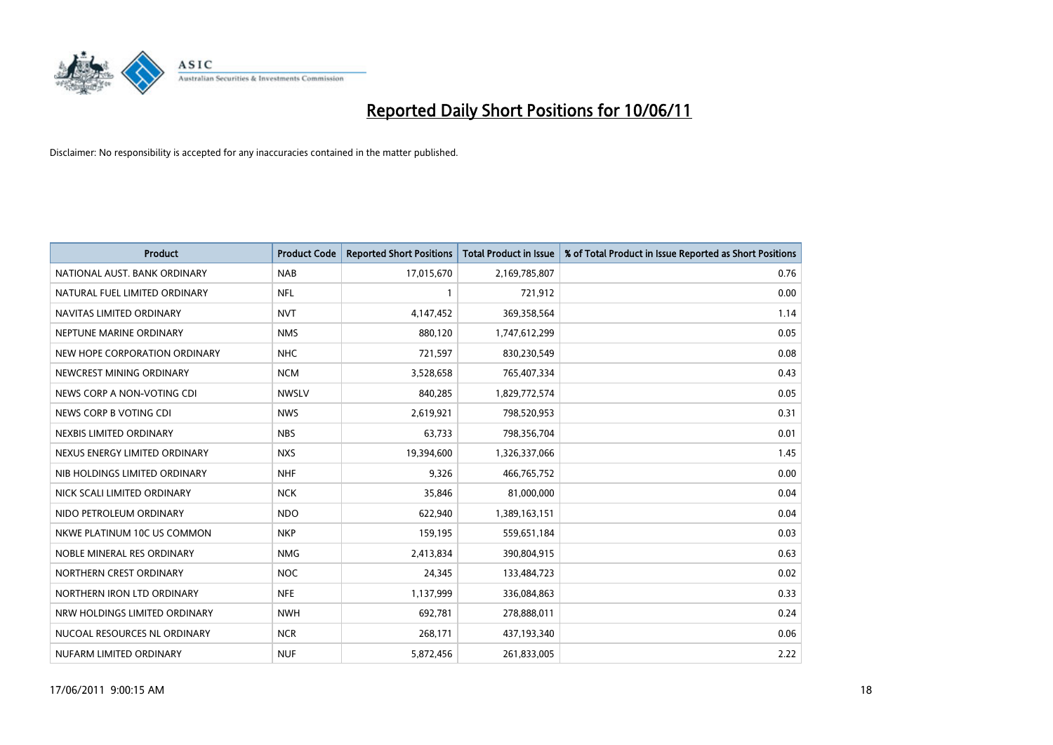

| <b>Product</b>                | <b>Product Code</b> | <b>Reported Short Positions</b> | Total Product in Issue | % of Total Product in Issue Reported as Short Positions |
|-------------------------------|---------------------|---------------------------------|------------------------|---------------------------------------------------------|
| NATIONAL AUST. BANK ORDINARY  | <b>NAB</b>          | 17,015,670                      | 2,169,785,807          | 0.76                                                    |
| NATURAL FUEL LIMITED ORDINARY | <b>NFL</b>          |                                 | 721,912                | 0.00                                                    |
| NAVITAS LIMITED ORDINARY      | <b>NVT</b>          | 4,147,452                       | 369,358,564            | 1.14                                                    |
| NEPTUNE MARINE ORDINARY       | <b>NMS</b>          | 880,120                         | 1,747,612,299          | 0.05                                                    |
| NEW HOPE CORPORATION ORDINARY | <b>NHC</b>          | 721,597                         | 830,230,549            | 0.08                                                    |
| NEWCREST MINING ORDINARY      | <b>NCM</b>          | 3,528,658                       | 765,407,334            | 0.43                                                    |
| NEWS CORP A NON-VOTING CDI    | <b>NWSLV</b>        | 840,285                         | 1,829,772,574          | 0.05                                                    |
| NEWS CORP B VOTING CDI        | <b>NWS</b>          | 2,619,921                       | 798,520,953            | 0.31                                                    |
| NEXBIS LIMITED ORDINARY       | <b>NBS</b>          | 63,733                          | 798,356,704            | 0.01                                                    |
| NEXUS ENERGY LIMITED ORDINARY | <b>NXS</b>          | 19,394,600                      | 1,326,337,066          | 1.45                                                    |
| NIB HOLDINGS LIMITED ORDINARY | <b>NHF</b>          | 9,326                           | 466,765,752            | 0.00                                                    |
| NICK SCALI LIMITED ORDINARY   | <b>NCK</b>          | 35,846                          | 81,000,000             | 0.04                                                    |
| NIDO PETROLEUM ORDINARY       | <b>NDO</b>          | 622,940                         | 1,389,163,151          | 0.04                                                    |
| NKWE PLATINUM 10C US COMMON   | <b>NKP</b>          | 159,195                         | 559,651,184            | 0.03                                                    |
| NOBLE MINERAL RES ORDINARY    | <b>NMG</b>          | 2,413,834                       | 390,804,915            | 0.63                                                    |
| NORTHERN CREST ORDINARY       | <b>NOC</b>          | 24,345                          | 133,484,723            | 0.02                                                    |
| NORTHERN IRON LTD ORDINARY    | <b>NFE</b>          | 1,137,999                       | 336,084,863            | 0.33                                                    |
| NRW HOLDINGS LIMITED ORDINARY | <b>NWH</b>          | 692,781                         | 278,888,011            | 0.24                                                    |
| NUCOAL RESOURCES NL ORDINARY  | <b>NCR</b>          | 268,171                         | 437,193,340            | 0.06                                                    |
| NUFARM LIMITED ORDINARY       | <b>NUF</b>          | 5,872,456                       | 261,833,005            | 2.22                                                    |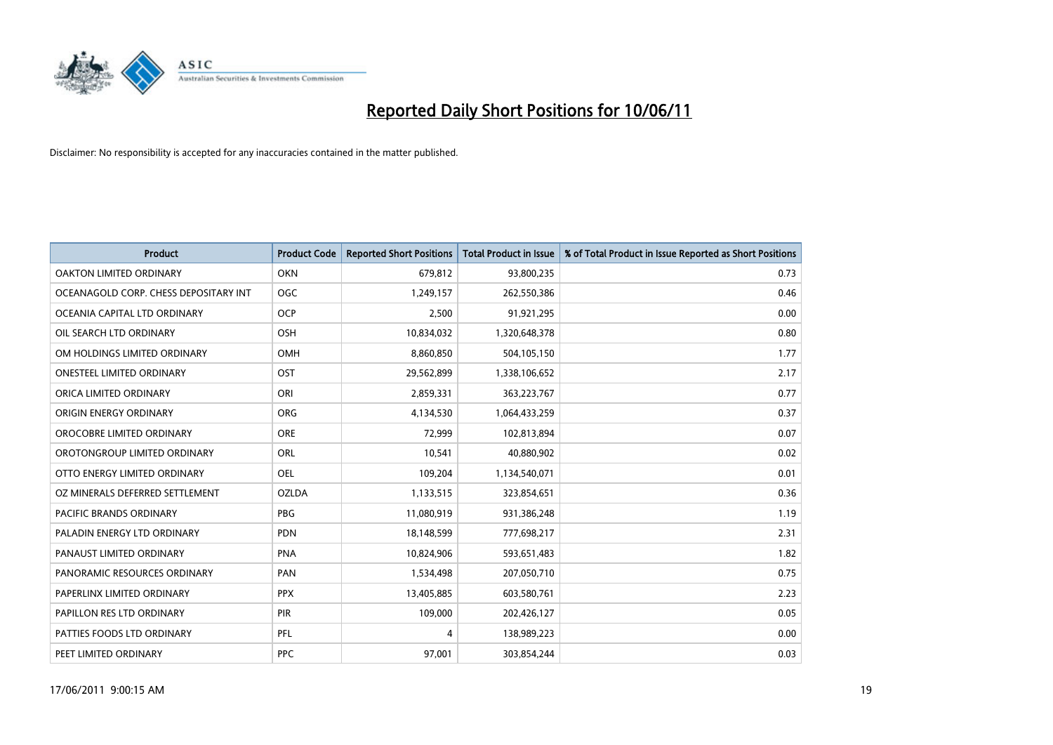

| <b>Product</b>                        | <b>Product Code</b> | <b>Reported Short Positions</b> | <b>Total Product in Issue</b> | % of Total Product in Issue Reported as Short Positions |
|---------------------------------------|---------------------|---------------------------------|-------------------------------|---------------------------------------------------------|
| <b>OAKTON LIMITED ORDINARY</b>        | <b>OKN</b>          | 679,812                         | 93,800,235                    | 0.73                                                    |
| OCEANAGOLD CORP. CHESS DEPOSITARY INT | <b>OGC</b>          | 1,249,157                       | 262,550,386                   | 0.46                                                    |
| OCEANIA CAPITAL LTD ORDINARY          | <b>OCP</b>          | 2,500                           | 91,921,295                    | 0.00                                                    |
| OIL SEARCH LTD ORDINARY               | OSH                 | 10,834,032                      | 1,320,648,378                 | 0.80                                                    |
| OM HOLDINGS LIMITED ORDINARY          | OMH                 | 8,860,850                       | 504,105,150                   | 1.77                                                    |
| <b>ONESTEEL LIMITED ORDINARY</b>      | OST                 | 29,562,899                      | 1,338,106,652                 | 2.17                                                    |
| ORICA LIMITED ORDINARY                | ORI                 | 2,859,331                       | 363,223,767                   | 0.77                                                    |
| ORIGIN ENERGY ORDINARY                | <b>ORG</b>          | 4,134,530                       | 1,064,433,259                 | 0.37                                                    |
| OROCOBRE LIMITED ORDINARY             | <b>ORE</b>          | 72,999                          | 102,813,894                   | 0.07                                                    |
| OROTONGROUP LIMITED ORDINARY          | ORL                 | 10,541                          | 40,880,902                    | 0.02                                                    |
| OTTO ENERGY LIMITED ORDINARY          | <b>OEL</b>          | 109,204                         | 1,134,540,071                 | 0.01                                                    |
| OZ MINERALS DEFERRED SETTLEMENT       | <b>OZLDA</b>        | 1,133,515                       | 323,854,651                   | 0.36                                                    |
| PACIFIC BRANDS ORDINARY               | <b>PBG</b>          | 11,080,919                      | 931,386,248                   | 1.19                                                    |
| PALADIN ENERGY LTD ORDINARY           | <b>PDN</b>          | 18,148,599                      | 777,698,217                   | 2.31                                                    |
| PANAUST LIMITED ORDINARY              | PNA                 | 10,824,906                      | 593,651,483                   | 1.82                                                    |
| PANORAMIC RESOURCES ORDINARY          | PAN                 | 1,534,498                       | 207,050,710                   | 0.75                                                    |
| PAPERLINX LIMITED ORDINARY            | <b>PPX</b>          | 13,405,885                      | 603,580,761                   | 2.23                                                    |
| PAPILLON RES LTD ORDINARY             | PIR                 | 109,000                         | 202,426,127                   | 0.05                                                    |
| PATTIES FOODS LTD ORDINARY            | PFL                 | 4                               | 138,989,223                   | 0.00                                                    |
| PEET LIMITED ORDINARY                 | <b>PPC</b>          | 97,001                          | 303,854,244                   | 0.03                                                    |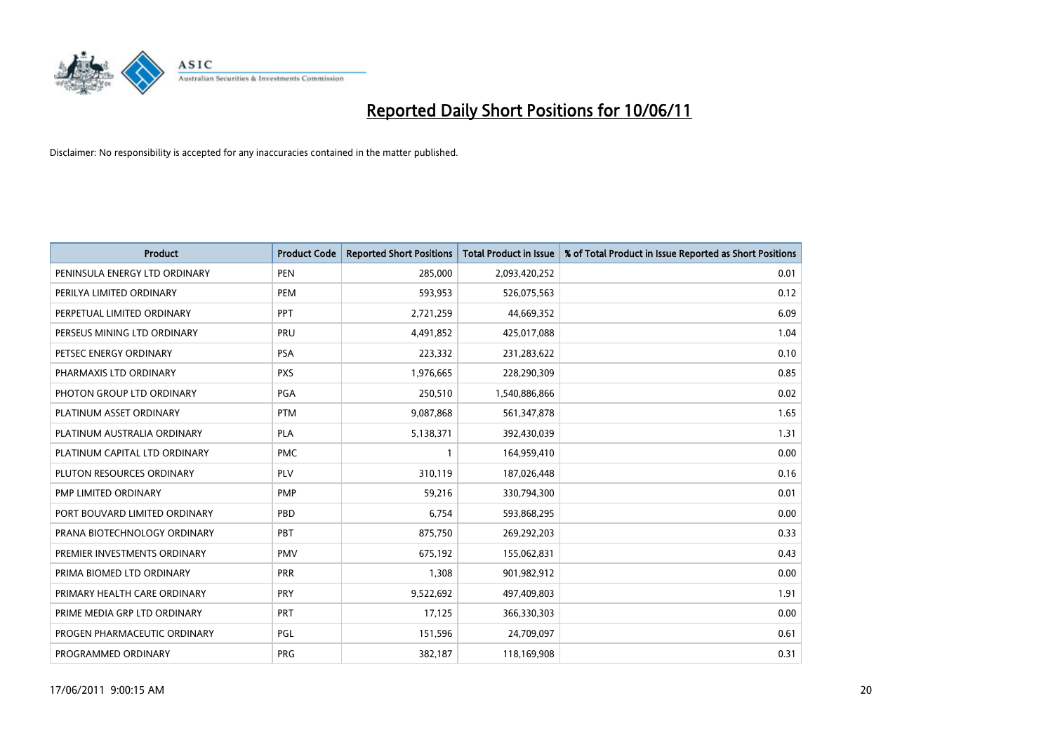

| <b>Product</b>                | <b>Product Code</b> | <b>Reported Short Positions</b> | Total Product in Issue | % of Total Product in Issue Reported as Short Positions |
|-------------------------------|---------------------|---------------------------------|------------------------|---------------------------------------------------------|
| PENINSULA ENERGY LTD ORDINARY | <b>PEN</b>          | 285,000                         | 2,093,420,252          | 0.01                                                    |
| PERILYA LIMITED ORDINARY      | PEM                 | 593,953                         | 526,075,563            | 0.12                                                    |
| PERPETUAL LIMITED ORDINARY    | PPT                 | 2,721,259                       | 44,669,352             | 6.09                                                    |
| PERSEUS MINING LTD ORDINARY   | PRU                 | 4,491,852                       | 425,017,088            | 1.04                                                    |
| PETSEC ENERGY ORDINARY        | <b>PSA</b>          | 223,332                         | 231,283,622            | 0.10                                                    |
| PHARMAXIS LTD ORDINARY        | <b>PXS</b>          | 1,976,665                       | 228,290,309            | 0.85                                                    |
| PHOTON GROUP LTD ORDINARY     | PGA                 | 250,510                         | 1,540,886,866          | 0.02                                                    |
| PLATINUM ASSET ORDINARY       | <b>PTM</b>          | 9,087,868                       | 561,347,878            | 1.65                                                    |
| PLATINUM AUSTRALIA ORDINARY   | PLA                 | 5,138,371                       | 392,430,039            | 1.31                                                    |
| PLATINUM CAPITAL LTD ORDINARY | <b>PMC</b>          |                                 | 164,959,410            | 0.00                                                    |
| PLUTON RESOURCES ORDINARY     | <b>PLV</b>          | 310,119                         | 187,026,448            | 0.16                                                    |
| PMP LIMITED ORDINARY          | <b>PMP</b>          | 59,216                          | 330,794,300            | 0.01                                                    |
| PORT BOUVARD LIMITED ORDINARY | PBD                 | 6,754                           | 593,868,295            | 0.00                                                    |
| PRANA BIOTECHNOLOGY ORDINARY  | PBT                 | 875,750                         | 269,292,203            | 0.33                                                    |
| PREMIER INVESTMENTS ORDINARY  | <b>PMV</b>          | 675,192                         | 155,062,831            | 0.43                                                    |
| PRIMA BIOMED LTD ORDINARY     | <b>PRR</b>          | 1,308                           | 901,982,912            | 0.00                                                    |
| PRIMARY HEALTH CARE ORDINARY  | <b>PRY</b>          | 9,522,692                       | 497,409,803            | 1.91                                                    |
| PRIME MEDIA GRP LTD ORDINARY  | <b>PRT</b>          | 17,125                          | 366,330,303            | 0.00                                                    |
| PROGEN PHARMACEUTIC ORDINARY  | <b>PGL</b>          | 151,596                         | 24,709,097             | 0.61                                                    |
| PROGRAMMED ORDINARY           | <b>PRG</b>          | 382,187                         | 118,169,908            | 0.31                                                    |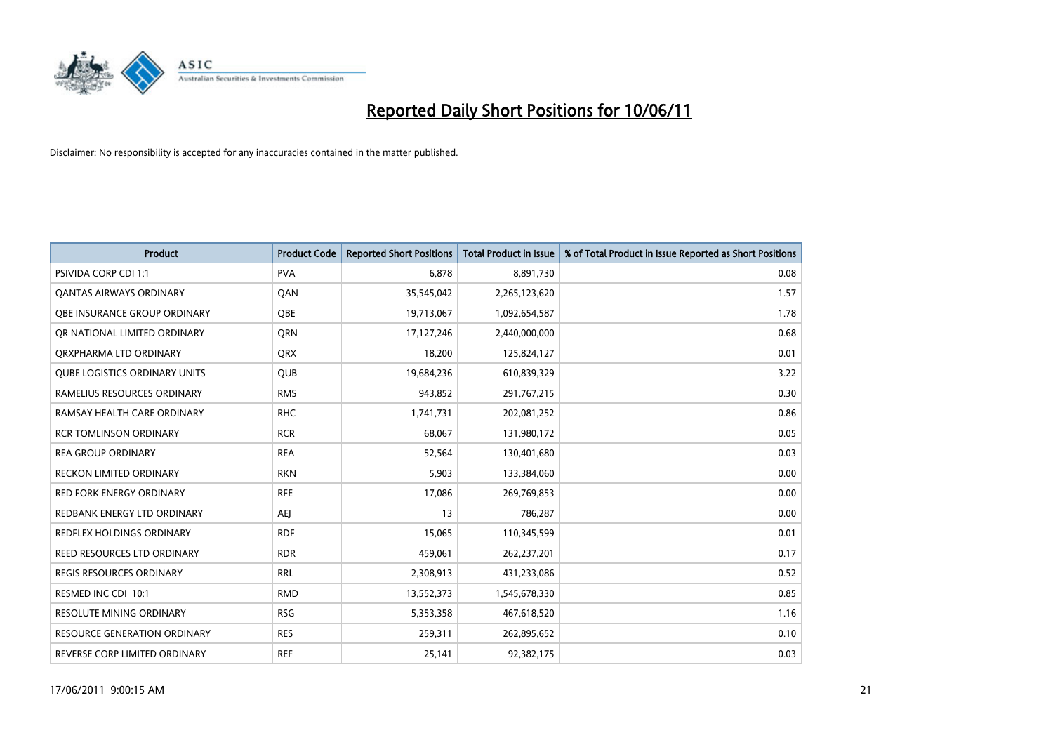

| <b>Product</b>                       | <b>Product Code</b> | <b>Reported Short Positions</b> | <b>Total Product in Issue</b> | % of Total Product in Issue Reported as Short Positions |
|--------------------------------------|---------------------|---------------------------------|-------------------------------|---------------------------------------------------------|
| <b>PSIVIDA CORP CDI 1:1</b>          | <b>PVA</b>          | 6,878                           | 8,891,730                     | 0.08                                                    |
| <b>QANTAS AIRWAYS ORDINARY</b>       | QAN                 | 35,545,042                      | 2,265,123,620                 | 1.57                                                    |
| OBE INSURANCE GROUP ORDINARY         | OBE                 | 19,713,067                      | 1,092,654,587                 | 1.78                                                    |
| OR NATIONAL LIMITED ORDINARY         | <b>ORN</b>          | 17,127,246                      | 2,440,000,000                 | 0.68                                                    |
| ORXPHARMA LTD ORDINARY               | <b>ORX</b>          | 18,200                          | 125,824,127                   | 0.01                                                    |
| <b>QUBE LOGISTICS ORDINARY UNITS</b> | <b>QUB</b>          | 19,684,236                      | 610,839,329                   | 3.22                                                    |
| RAMELIUS RESOURCES ORDINARY          | <b>RMS</b>          | 943,852                         | 291,767,215                   | 0.30                                                    |
| RAMSAY HEALTH CARE ORDINARY          | <b>RHC</b>          | 1,741,731                       | 202,081,252                   | 0.86                                                    |
| <b>RCR TOMLINSON ORDINARY</b>        | <b>RCR</b>          | 68,067                          | 131,980,172                   | 0.05                                                    |
| <b>REA GROUP ORDINARY</b>            | <b>REA</b>          | 52,564                          | 130,401,680                   | 0.03                                                    |
| <b>RECKON LIMITED ORDINARY</b>       | <b>RKN</b>          | 5,903                           | 133,384,060                   | 0.00                                                    |
| <b>RED FORK ENERGY ORDINARY</b>      | <b>RFE</b>          | 17,086                          | 269,769,853                   | 0.00                                                    |
| REDBANK ENERGY LTD ORDINARY          | AEJ                 | 13                              | 786,287                       | 0.00                                                    |
| <b>REDFLEX HOLDINGS ORDINARY</b>     | <b>RDF</b>          | 15,065                          | 110,345,599                   | 0.01                                                    |
| REED RESOURCES LTD ORDINARY          | <b>RDR</b>          | 459,061                         | 262,237,201                   | 0.17                                                    |
| REGIS RESOURCES ORDINARY             | <b>RRL</b>          | 2,308,913                       | 431,233,086                   | 0.52                                                    |
| RESMED INC CDI 10:1                  | <b>RMD</b>          | 13,552,373                      | 1,545,678,330                 | 0.85                                                    |
| RESOLUTE MINING ORDINARY             | <b>RSG</b>          | 5,353,358                       | 467,618,520                   | 1.16                                                    |
| <b>RESOURCE GENERATION ORDINARY</b>  | <b>RES</b>          | 259,311                         | 262,895,652                   | 0.10                                                    |
| REVERSE CORP LIMITED ORDINARY        | <b>REF</b>          | 25,141                          | 92,382,175                    | 0.03                                                    |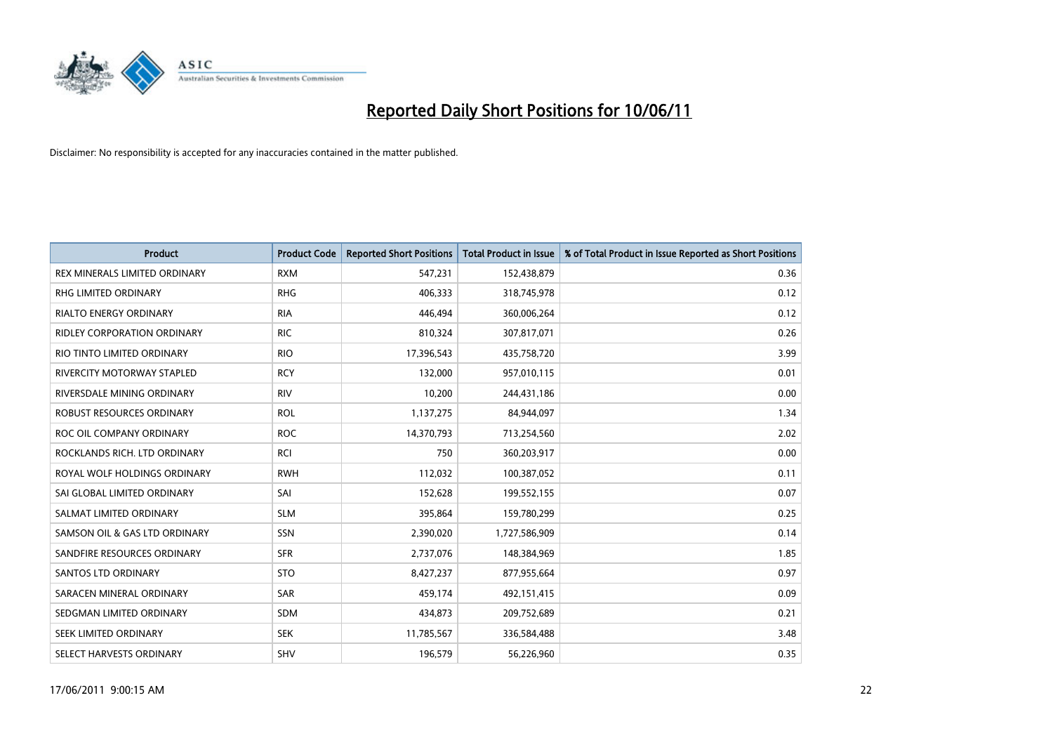

| <b>Product</b>                     | <b>Product Code</b> | <b>Reported Short Positions</b> | <b>Total Product in Issue</b> | % of Total Product in Issue Reported as Short Positions |
|------------------------------------|---------------------|---------------------------------|-------------------------------|---------------------------------------------------------|
| REX MINERALS LIMITED ORDINARY      | <b>RXM</b>          | 547,231                         | 152,438,879                   | 0.36                                                    |
| RHG LIMITED ORDINARY               | <b>RHG</b>          | 406,333                         | 318,745,978                   | 0.12                                                    |
| <b>RIALTO ENERGY ORDINARY</b>      | <b>RIA</b>          | 446,494                         | 360,006,264                   | 0.12                                                    |
| <b>RIDLEY CORPORATION ORDINARY</b> | <b>RIC</b>          | 810,324                         | 307,817,071                   | 0.26                                                    |
| RIO TINTO LIMITED ORDINARY         | <b>RIO</b>          | 17,396,543                      | 435,758,720                   | 3.99                                                    |
| <b>RIVERCITY MOTORWAY STAPLED</b>  | <b>RCY</b>          | 132,000                         | 957,010,115                   | 0.01                                                    |
| RIVERSDALE MINING ORDINARY         | <b>RIV</b>          | 10,200                          | 244,431,186                   | 0.00                                                    |
| ROBUST RESOURCES ORDINARY          | <b>ROL</b>          | 1,137,275                       | 84,944,097                    | 1.34                                                    |
| ROC OIL COMPANY ORDINARY           | <b>ROC</b>          | 14,370,793                      | 713,254,560                   | 2.02                                                    |
| ROCKLANDS RICH. LTD ORDINARY       | <b>RCI</b>          | 750                             | 360,203,917                   | 0.00                                                    |
| ROYAL WOLF HOLDINGS ORDINARY       | <b>RWH</b>          | 112,032                         | 100,387,052                   | 0.11                                                    |
| SAI GLOBAL LIMITED ORDINARY        | SAI                 | 152,628                         | 199,552,155                   | 0.07                                                    |
| SALMAT LIMITED ORDINARY            | <b>SLM</b>          | 395,864                         | 159,780,299                   | 0.25                                                    |
| SAMSON OIL & GAS LTD ORDINARY      | SSN                 | 2,390,020                       | 1,727,586,909                 | 0.14                                                    |
| SANDFIRE RESOURCES ORDINARY        | <b>SFR</b>          | 2,737,076                       | 148,384,969                   | 1.85                                                    |
| <b>SANTOS LTD ORDINARY</b>         | <b>STO</b>          | 8,427,237                       | 877,955,664                   | 0.97                                                    |
| SARACEN MINERAL ORDINARY           | SAR                 | 459,174                         | 492,151,415                   | 0.09                                                    |
| SEDGMAN LIMITED ORDINARY           | <b>SDM</b>          | 434,873                         | 209,752,689                   | 0.21                                                    |
| SEEK LIMITED ORDINARY              | <b>SEK</b>          | 11,785,567                      | 336,584,488                   | 3.48                                                    |
| SELECT HARVESTS ORDINARY           | SHV                 | 196,579                         | 56,226,960                    | 0.35                                                    |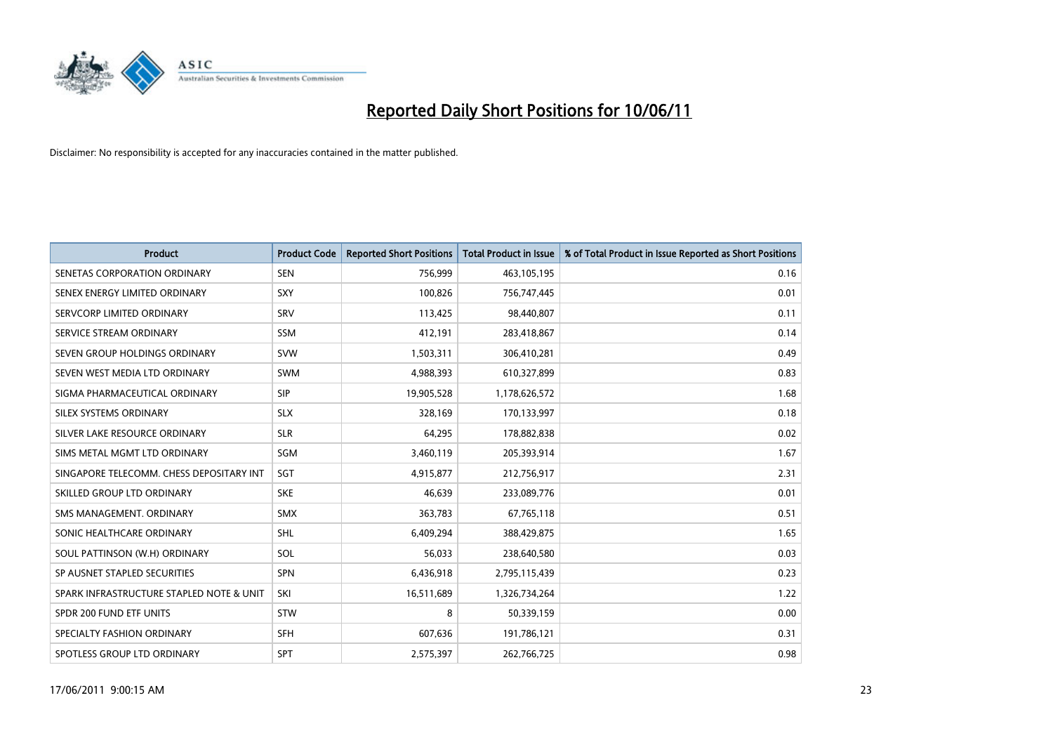

| <b>Product</b>                           | <b>Product Code</b> | <b>Reported Short Positions</b> | <b>Total Product in Issue</b> | % of Total Product in Issue Reported as Short Positions |
|------------------------------------------|---------------------|---------------------------------|-------------------------------|---------------------------------------------------------|
| SENETAS CORPORATION ORDINARY             | <b>SEN</b>          | 756,999                         | 463,105,195                   | 0.16                                                    |
| SENEX ENERGY LIMITED ORDINARY            | SXY                 | 100,826                         | 756,747,445                   | 0.01                                                    |
| SERVCORP LIMITED ORDINARY                | SRV                 | 113,425                         | 98,440,807                    | 0.11                                                    |
| SERVICE STREAM ORDINARY                  | <b>SSM</b>          | 412,191                         | 283,418,867                   | 0.14                                                    |
| SEVEN GROUP HOLDINGS ORDINARY            | <b>SVW</b>          | 1,503,311                       | 306,410,281                   | 0.49                                                    |
| SEVEN WEST MEDIA LTD ORDINARY            | <b>SWM</b>          | 4,988,393                       | 610,327,899                   | 0.83                                                    |
| SIGMA PHARMACEUTICAL ORDINARY            | <b>SIP</b>          | 19,905,528                      | 1,178,626,572                 | 1.68                                                    |
| SILEX SYSTEMS ORDINARY                   | <b>SLX</b>          | 328,169                         | 170,133,997                   | 0.18                                                    |
| SILVER LAKE RESOURCE ORDINARY            | <b>SLR</b>          | 64,295                          | 178,882,838                   | 0.02                                                    |
| SIMS METAL MGMT LTD ORDINARY             | SGM                 | 3,460,119                       | 205,393,914                   | 1.67                                                    |
| SINGAPORE TELECOMM. CHESS DEPOSITARY INT | SGT                 | 4,915,877                       | 212,756,917                   | 2.31                                                    |
| SKILLED GROUP LTD ORDINARY               | <b>SKE</b>          | 46.639                          | 233,089,776                   | 0.01                                                    |
| SMS MANAGEMENT, ORDINARY                 | <b>SMX</b>          | 363,783                         | 67,765,118                    | 0.51                                                    |
| SONIC HEALTHCARE ORDINARY                | <b>SHL</b>          | 6,409,294                       | 388,429,875                   | 1.65                                                    |
| SOUL PATTINSON (W.H) ORDINARY            | SOL                 | 56,033                          | 238,640,580                   | 0.03                                                    |
| SP AUSNET STAPLED SECURITIES             | <b>SPN</b>          | 6,436,918                       | 2,795,115,439                 | 0.23                                                    |
| SPARK INFRASTRUCTURE STAPLED NOTE & UNIT | SKI                 | 16,511,689                      | 1,326,734,264                 | 1.22                                                    |
| SPDR 200 FUND ETF UNITS                  | <b>STW</b>          | 8                               | 50,339,159                    | 0.00                                                    |
| SPECIALTY FASHION ORDINARY               | <b>SFH</b>          | 607,636                         | 191,786,121                   | 0.31                                                    |
| SPOTLESS GROUP LTD ORDINARY              | <b>SPT</b>          | 2,575,397                       | 262,766,725                   | 0.98                                                    |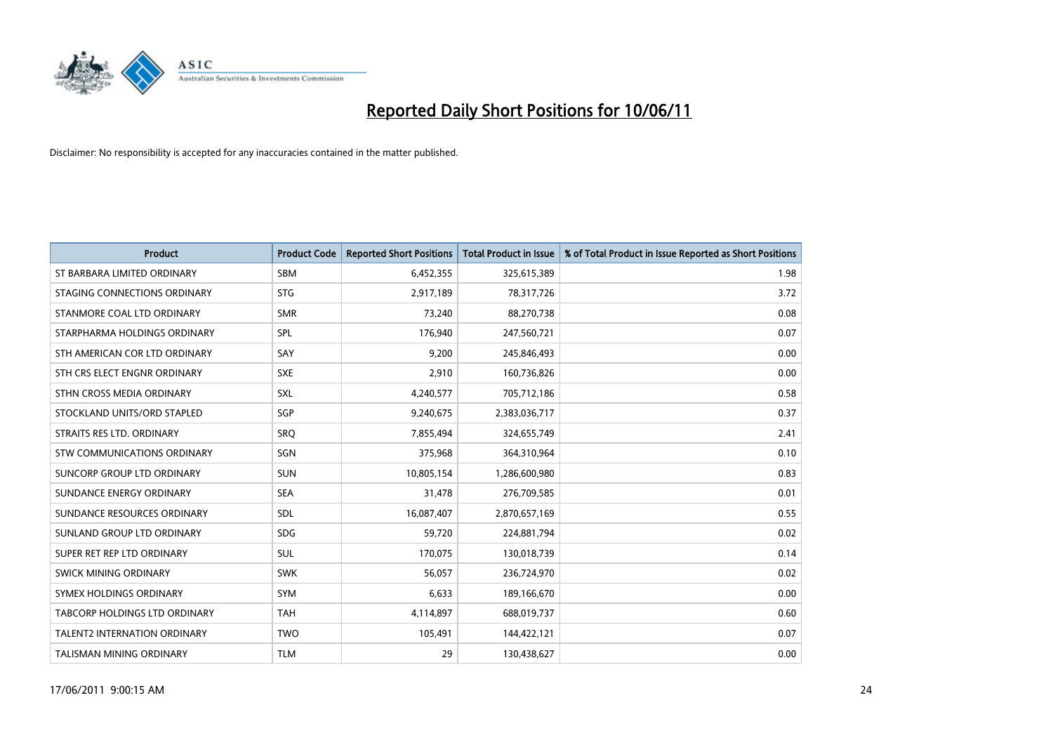

| <b>Product</b>                      | <b>Product Code</b> | <b>Reported Short Positions</b> | <b>Total Product in Issue</b> | % of Total Product in Issue Reported as Short Positions |
|-------------------------------------|---------------------|---------------------------------|-------------------------------|---------------------------------------------------------|
| ST BARBARA LIMITED ORDINARY         | SBM                 | 6,452,355                       | 325,615,389                   | 1.98                                                    |
| STAGING CONNECTIONS ORDINARY        | <b>STG</b>          | 2,917,189                       | 78,317,726                    | 3.72                                                    |
| STANMORE COAL LTD ORDINARY          | <b>SMR</b>          | 73,240                          | 88,270,738                    | 0.08                                                    |
| STARPHARMA HOLDINGS ORDINARY        | SPL                 | 176,940                         | 247,560,721                   | 0.07                                                    |
| STH AMERICAN COR LTD ORDINARY       | SAY                 | 9,200                           | 245,846,493                   | 0.00                                                    |
| STH CRS ELECT ENGNR ORDINARY        | <b>SXE</b>          | 2,910                           | 160,736,826                   | 0.00                                                    |
| STHN CROSS MEDIA ORDINARY           | <b>SXL</b>          | 4,240,577                       | 705,712,186                   | 0.58                                                    |
| STOCKLAND UNITS/ORD STAPLED         | SGP                 | 9,240,675                       | 2,383,036,717                 | 0.37                                                    |
| STRAITS RES LTD. ORDINARY           | SRO                 | 7,855,494                       | 324,655,749                   | 2.41                                                    |
| <b>STW COMMUNICATIONS ORDINARY</b>  | SGN                 | 375,968                         | 364,310,964                   | 0.10                                                    |
| SUNCORP GROUP LTD ORDINARY          | <b>SUN</b>          | 10,805,154                      | 1,286,600,980                 | 0.83                                                    |
| SUNDANCE ENERGY ORDINARY            | <b>SEA</b>          | 31,478                          | 276,709,585                   | 0.01                                                    |
| SUNDANCE RESOURCES ORDINARY         | <b>SDL</b>          | 16,087,407                      | 2,870,657,169                 | 0.55                                                    |
| SUNLAND GROUP LTD ORDINARY          | <b>SDG</b>          | 59,720                          | 224,881,794                   | 0.02                                                    |
| SUPER RET REP LTD ORDINARY          | <b>SUL</b>          | 170,075                         | 130,018,739                   | 0.14                                                    |
| <b>SWICK MINING ORDINARY</b>        | <b>SWK</b>          | 56,057                          | 236,724,970                   | 0.02                                                    |
| SYMEX HOLDINGS ORDINARY             | <b>SYM</b>          | 6,633                           | 189,166,670                   | 0.00                                                    |
| TABCORP HOLDINGS LTD ORDINARY       | <b>TAH</b>          | 4,114,897                       | 688,019,737                   | 0.60                                                    |
| <b>TALENT2 INTERNATION ORDINARY</b> | <b>TWO</b>          | 105,491                         | 144,422,121                   | 0.07                                                    |
| TALISMAN MINING ORDINARY            | <b>TLM</b>          | 29                              | 130,438,627                   | 0.00                                                    |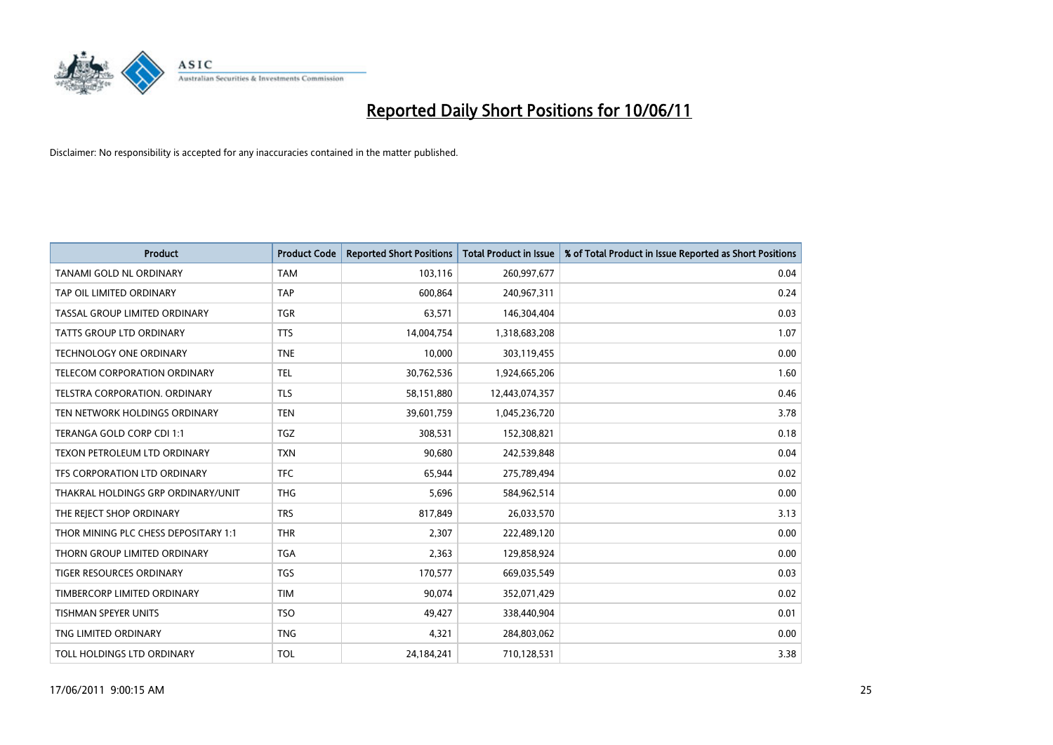

| <b>Product</b>                       | <b>Product Code</b> | <b>Reported Short Positions</b> | <b>Total Product in Issue</b> | % of Total Product in Issue Reported as Short Positions |
|--------------------------------------|---------------------|---------------------------------|-------------------------------|---------------------------------------------------------|
| <b>TANAMI GOLD NL ORDINARY</b>       | <b>TAM</b>          | 103,116                         | 260,997,677                   | 0.04                                                    |
| TAP OIL LIMITED ORDINARY             | <b>TAP</b>          | 600.864                         | 240,967,311                   | 0.24                                                    |
| TASSAL GROUP LIMITED ORDINARY        | <b>TGR</b>          | 63,571                          | 146,304,404                   | 0.03                                                    |
| TATTS GROUP LTD ORDINARY             | <b>TTS</b>          | 14,004,754                      | 1,318,683,208                 | 1.07                                                    |
| <b>TECHNOLOGY ONE ORDINARY</b>       | <b>TNE</b>          | 10.000                          | 303,119,455                   | 0.00                                                    |
| <b>TELECOM CORPORATION ORDINARY</b>  | <b>TEL</b>          | 30,762,536                      | 1,924,665,206                 | 1.60                                                    |
| <b>TELSTRA CORPORATION, ORDINARY</b> | <b>TLS</b>          | 58,151,880                      | 12,443,074,357                | 0.46                                                    |
| TEN NETWORK HOLDINGS ORDINARY        | <b>TEN</b>          | 39,601,759                      | 1,045,236,720                 | 3.78                                                    |
| TERANGA GOLD CORP CDI 1:1            | <b>TGZ</b>          | 308,531                         | 152,308,821                   | 0.18                                                    |
| TEXON PETROLEUM LTD ORDINARY         | <b>TXN</b>          | 90.680                          | 242,539,848                   | 0.04                                                    |
| TFS CORPORATION LTD ORDINARY         | <b>TFC</b>          | 65,944                          | 275,789,494                   | 0.02                                                    |
| THAKRAL HOLDINGS GRP ORDINARY/UNIT   | <b>THG</b>          | 5,696                           | 584,962,514                   | 0.00                                                    |
| THE REJECT SHOP ORDINARY             | <b>TRS</b>          | 817,849                         | 26,033,570                    | 3.13                                                    |
| THOR MINING PLC CHESS DEPOSITARY 1:1 | <b>THR</b>          | 2.307                           | 222,489,120                   | 0.00                                                    |
| THORN GROUP LIMITED ORDINARY         | <b>TGA</b>          | 2,363                           | 129,858,924                   | 0.00                                                    |
| <b>TIGER RESOURCES ORDINARY</b>      | <b>TGS</b>          | 170,577                         | 669,035,549                   | 0.03                                                    |
| TIMBERCORP LIMITED ORDINARY          | <b>TIM</b>          | 90,074                          | 352,071,429                   | 0.02                                                    |
| <b>TISHMAN SPEYER UNITS</b>          | <b>TSO</b>          | 49,427                          | 338,440,904                   | 0.01                                                    |
| TNG LIMITED ORDINARY                 | <b>TNG</b>          | 4,321                           | 284,803,062                   | 0.00                                                    |
| TOLL HOLDINGS LTD ORDINARY           | <b>TOL</b>          | 24,184,241                      | 710,128,531                   | 3.38                                                    |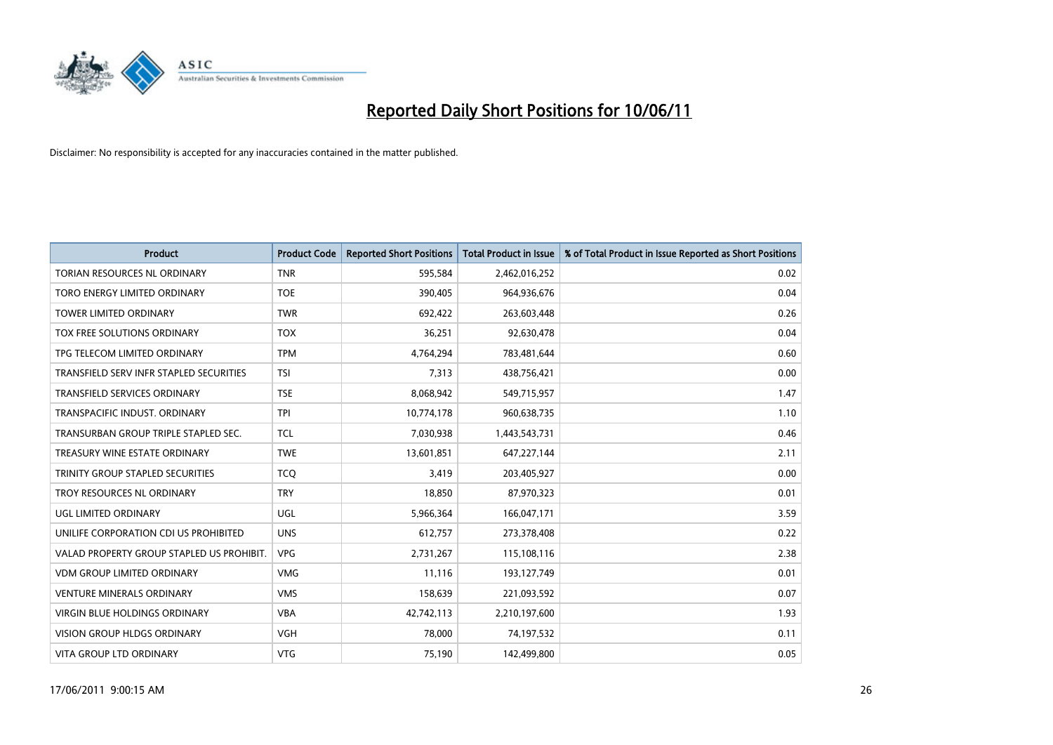

| <b>Product</b>                            | <b>Product Code</b> | <b>Reported Short Positions</b> | <b>Total Product in Issue</b> | % of Total Product in Issue Reported as Short Positions |
|-------------------------------------------|---------------------|---------------------------------|-------------------------------|---------------------------------------------------------|
| <b>TORIAN RESOURCES NL ORDINARY</b>       | <b>TNR</b>          | 595,584                         | 2,462,016,252                 | 0.02                                                    |
| TORO ENERGY LIMITED ORDINARY              | <b>TOE</b>          | 390,405                         | 964,936,676                   | 0.04                                                    |
| <b>TOWER LIMITED ORDINARY</b>             | <b>TWR</b>          | 692,422                         | 263,603,448                   | 0.26                                                    |
| TOX FREE SOLUTIONS ORDINARY               | <b>TOX</b>          | 36,251                          | 92,630,478                    | 0.04                                                    |
| TPG TELECOM LIMITED ORDINARY              | <b>TPM</b>          | 4,764,294                       | 783,481,644                   | 0.60                                                    |
| TRANSFIELD SERV INFR STAPLED SECURITIES   | <b>TSI</b>          | 7,313                           | 438,756,421                   | 0.00                                                    |
| <b>TRANSFIELD SERVICES ORDINARY</b>       | <b>TSE</b>          | 8,068,942                       | 549,715,957                   | 1.47                                                    |
| TRANSPACIFIC INDUST. ORDINARY             | <b>TPI</b>          | 10,774,178                      | 960,638,735                   | 1.10                                                    |
| TRANSURBAN GROUP TRIPLE STAPLED SEC.      | <b>TCL</b>          | 7,030,938                       | 1,443,543,731                 | 0.46                                                    |
| TREASURY WINE ESTATE ORDINARY             | <b>TWE</b>          | 13,601,851                      | 647,227,144                   | 2.11                                                    |
| TRINITY GROUP STAPLED SECURITIES          | <b>TCO</b>          | 3,419                           | 203,405,927                   | 0.00                                                    |
| TROY RESOURCES NL ORDINARY                | <b>TRY</b>          | 18,850                          | 87,970,323                    | 0.01                                                    |
| UGL LIMITED ORDINARY                      | UGL                 | 5,966,364                       | 166,047,171                   | 3.59                                                    |
| UNILIFE CORPORATION CDI US PROHIBITED     | <b>UNS</b>          | 612,757                         | 273,378,408                   | 0.22                                                    |
| VALAD PROPERTY GROUP STAPLED US PROHIBIT. | <b>VPG</b>          | 2,731,267                       | 115,108,116                   | 2.38                                                    |
| <b>VDM GROUP LIMITED ORDINARY</b>         | <b>VMG</b>          | 11,116                          | 193,127,749                   | 0.01                                                    |
| <b>VENTURE MINERALS ORDINARY</b>          | <b>VMS</b>          | 158,639                         | 221,093,592                   | 0.07                                                    |
| VIRGIN BLUE HOLDINGS ORDINARY             | <b>VBA</b>          | 42,742,113                      | 2,210,197,600                 | 1.93                                                    |
| <b>VISION GROUP HLDGS ORDINARY</b>        | <b>VGH</b>          | 78,000                          | 74,197,532                    | 0.11                                                    |
| VITA GROUP LTD ORDINARY                   | <b>VTG</b>          | 75,190                          | 142,499,800                   | 0.05                                                    |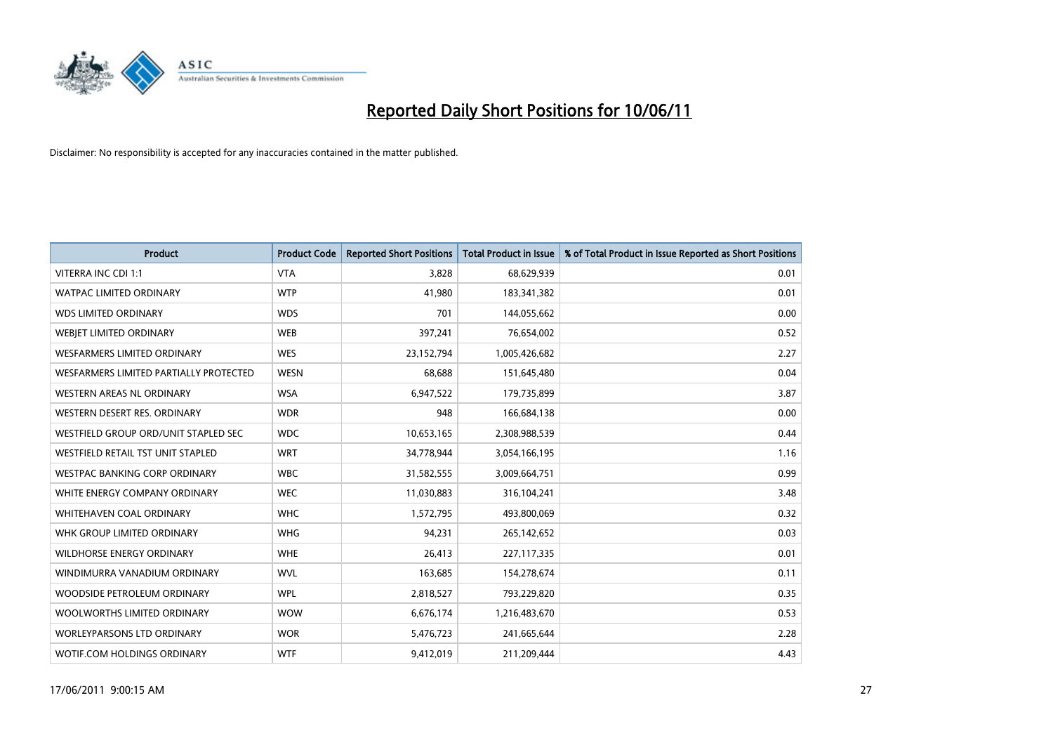

| <b>Product</b>                         | <b>Product Code</b> | <b>Reported Short Positions</b> | <b>Total Product in Issue</b> | % of Total Product in Issue Reported as Short Positions |
|----------------------------------------|---------------------|---------------------------------|-------------------------------|---------------------------------------------------------|
| <b>VITERRA INC CDI 1:1</b>             | <b>VTA</b>          | 3,828                           | 68,629,939                    | 0.01                                                    |
| <b>WATPAC LIMITED ORDINARY</b>         | <b>WTP</b>          | 41,980                          | 183,341,382                   | 0.01                                                    |
| <b>WDS LIMITED ORDINARY</b>            | <b>WDS</b>          | 701                             | 144,055,662                   | 0.00                                                    |
| WEBJET LIMITED ORDINARY                | <b>WEB</b>          | 397,241                         | 76,654,002                    | 0.52                                                    |
| <b>WESFARMERS LIMITED ORDINARY</b>     | <b>WES</b>          | 23,152,794                      | 1,005,426,682                 | 2.27                                                    |
| WESFARMERS LIMITED PARTIALLY PROTECTED | <b>WESN</b>         | 68.688                          | 151,645,480                   | 0.04                                                    |
| WESTERN AREAS NL ORDINARY              | <b>WSA</b>          | 6,947,522                       | 179,735,899                   | 3.87                                                    |
| WESTERN DESERT RES. ORDINARY           | <b>WDR</b>          | 948                             | 166,684,138                   | 0.00                                                    |
| WESTFIELD GROUP ORD/UNIT STAPLED SEC   | <b>WDC</b>          | 10,653,165                      | 2,308,988,539                 | 0.44                                                    |
| WESTFIELD RETAIL TST UNIT STAPLED      | <b>WRT</b>          | 34,778,944                      | 3,054,166,195                 | 1.16                                                    |
| WESTPAC BANKING CORP ORDINARY          | <b>WBC</b>          | 31,582,555                      | 3,009,664,751                 | 0.99                                                    |
| WHITE ENERGY COMPANY ORDINARY          | <b>WEC</b>          | 11,030,883                      | 316,104,241                   | 3.48                                                    |
| WHITEHAVEN COAL ORDINARY               | <b>WHC</b>          | 1,572,795                       | 493,800,069                   | 0.32                                                    |
| WHK GROUP LIMITED ORDINARY             | <b>WHG</b>          | 94,231                          | 265,142,652                   | 0.03                                                    |
| <b>WILDHORSE ENERGY ORDINARY</b>       | <b>WHE</b>          | 26,413                          | 227,117,335                   | 0.01                                                    |
| WINDIMURRA VANADIUM ORDINARY           | <b>WVL</b>          | 163,685                         | 154,278,674                   | 0.11                                                    |
| WOODSIDE PETROLEUM ORDINARY            | <b>WPL</b>          | 2,818,527                       | 793,229,820                   | 0.35                                                    |
| WOOLWORTHS LIMITED ORDINARY            | <b>WOW</b>          | 6,676,174                       | 1,216,483,670                 | 0.53                                                    |
| <b>WORLEYPARSONS LTD ORDINARY</b>      | <b>WOR</b>          | 5,476,723                       | 241,665,644                   | 2.28                                                    |
| WOTIF.COM HOLDINGS ORDINARY            | <b>WTF</b>          | 9,412,019                       | 211,209,444                   | 4.43                                                    |